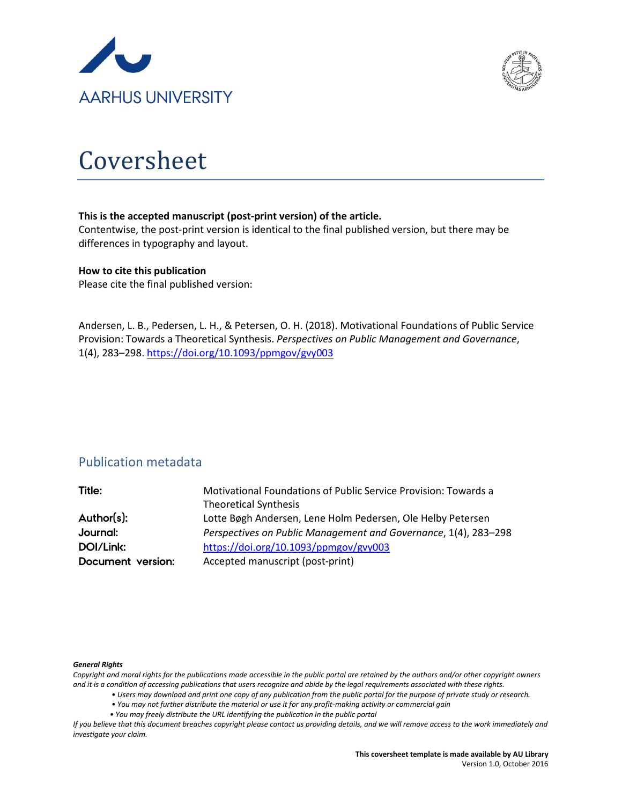



# Coversheet

#### **This is the accepted manuscript (post-print version) of the article.**

Contentwise, the post-print version is identical to the final published version, but there may be differences in typography and layout.

#### **How to cite this publication**

Please cite the final published version:

Andersen, L. B., Pedersen, L. H., & Petersen, O. H. (2018). Motivational Foundations of Public Service Provision: Towards a Theoretical Synthesis. *Perspectives on Public Management and Governance*, 1(4), 283–298[. https://doi.org/10.1093/ppmgov/gvy003](https://doi.org/10.1093/ppmgov/gvy003)

### Publication metadata

| Title:            | Motivational Foundations of Public Service Provision: Towards a |  |
|-------------------|-----------------------------------------------------------------|--|
|                   | <b>Theoretical Synthesis</b>                                    |  |
| Author(s):        | Lotte Bøgh Andersen, Lene Holm Pedersen, Ole Helby Petersen     |  |
| Journal:          | Perspectives on Public Management and Governance, 1(4), 283–298 |  |
| DOI/Link:         | https://doi.org/10.1093/ppmgov/gvy003                           |  |
| Document version: | Accepted manuscript (post-print)                                |  |

#### *General Rights*

*Copyright and moral rights for the publications made accessible in the public portal are retained by the authors and/or other copyright owners and it is a condition of accessing publications that users recognize and abide by the legal requirements associated with these rights.*

- *Users may download and print one copy of any publication from the public portal for the purpose of private study or research.*
- *You may not further distribute the material or use it for any profit-making activity or commercial gain*
- *You may freely distribute the URL identifying the publication in the public portal*

*If you believe that this document breaches copyright please contact us providing details, and we will remove access to the work immediately and investigate your claim.*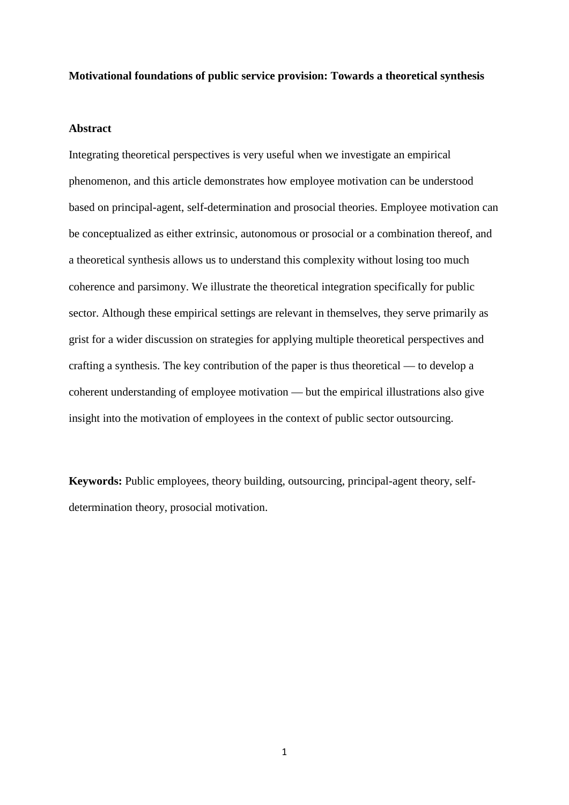#### **Motivational foundations of public service provision: Towards a theoretical synthesis**

#### **Abstract**

Integrating theoretical perspectives is very useful when we investigate an empirical phenomenon, and this article demonstrates how employee motivation can be understood based on principal-agent, self-determination and prosocial theories. Employee motivation can be conceptualized as either extrinsic, autonomous or prosocial or a combination thereof, and a theoretical synthesis allows us to understand this complexity without losing too much coherence and parsimony. We illustrate the theoretical integration specifically for public sector. Although these empirical settings are relevant in themselves, they serve primarily as grist for a wider discussion on strategies for applying multiple theoretical perspectives and crafting a synthesis. The key contribution of the paper is thus theoretical — to develop a coherent understanding of employee motivation — but the empirical illustrations also give insight into the motivation of employees in the context of public sector outsourcing.

**Keywords:** Public employees, theory building, outsourcing, principal-agent theory, selfdetermination theory, prosocial motivation.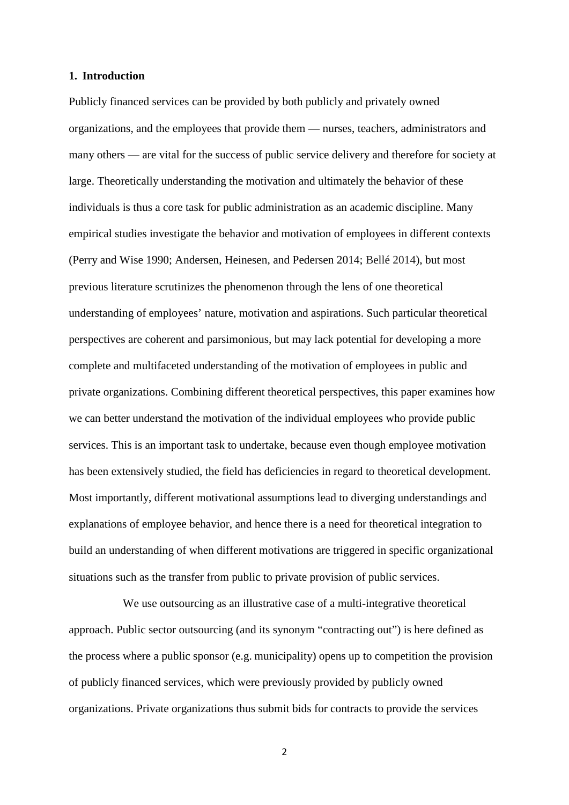#### **1. Introduction**

Publicly financed services can be provided by both publicly and privately owned organizations, and the employees that provide them — nurses, teachers, administrators and many others — are vital for the success of public service delivery and therefore for society at large. Theoretically understanding the motivation and ultimately the behavior of these individuals is thus a core task for public administration as an academic discipline. Many empirical studies investigate the behavior and motivation of employees in different contexts (Perry and Wise 1990; Andersen, Heinesen, and Pedersen 2014; Bellé 2014), but most previous literature scrutinizes the phenomenon through the lens of one theoretical understanding of employees' nature, motivation and aspirations. Such particular theoretical perspectives are coherent and parsimonious, but may lack potential for developing a more complete and multifaceted understanding of the motivation of employees in public and private organizations. Combining different theoretical perspectives, this paper examines how we can better understand the motivation of the individual employees who provide public services. This is an important task to undertake, because even though employee motivation has been extensively studied, the field has deficiencies in regard to theoretical development. Most importantly, different motivational assumptions lead to diverging understandings and explanations of employee behavior, and hence there is a need for theoretical integration to build an understanding of when different motivations are triggered in specific organizational situations such as the transfer from public to private provision of public services.

We use outsourcing as an illustrative case of a multi-integrative theoretical approach. Public sector outsourcing (and its synonym "contracting out") is here defined as the process where a public sponsor (e.g. municipality) opens up to competition the provision of publicly financed services, which were previously provided by publicly owned organizations. Private organizations thus submit bids for contracts to provide the services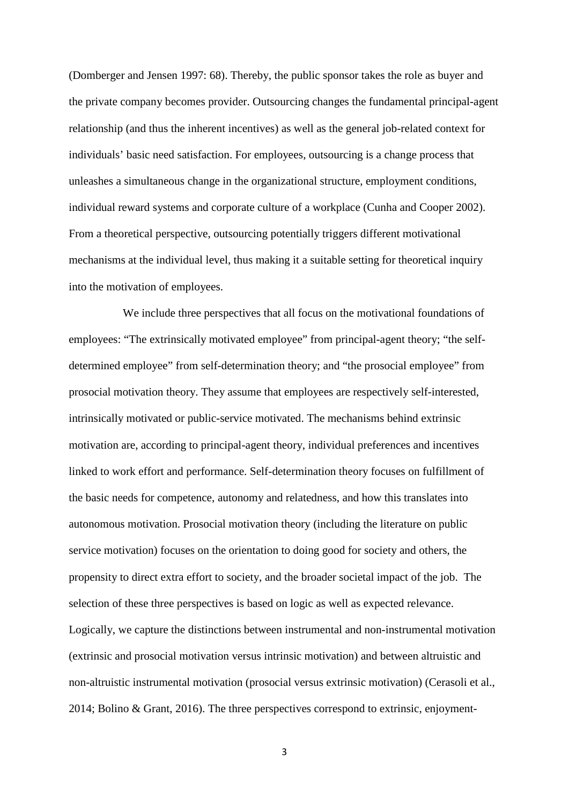(Domberger and Jensen 1997: 68). Thereby, the public sponsor takes the role as buyer and the private company becomes provider. Outsourcing changes the fundamental principal-agent relationship (and thus the inherent incentives) as well as the general job-related context for individuals' basic need satisfaction. For employees, outsourcing is a change process that unleashes a simultaneous change in the organizational structure, employment conditions, individual reward systems and corporate culture of a workplace (Cunha and Cooper 2002). From a theoretical perspective, outsourcing potentially triggers different motivational mechanisms at the individual level, thus making it a suitable setting for theoretical inquiry into the motivation of employees.

We include three perspectives that all focus on the motivational foundations of employees: "The extrinsically motivated employee" from principal-agent theory; "the selfdetermined employee" from self-determination theory; and "the prosocial employee" from prosocial motivation theory. They assume that employees are respectively self-interested, intrinsically motivated or public-service motivated. The mechanisms behind extrinsic motivation are, according to principal-agent theory, individual preferences and incentives linked to work effort and performance. Self-determination theory focuses on fulfillment of the basic needs for competence, autonomy and relatedness, and how this translates into autonomous motivation. Prosocial motivation theory (including the literature on public service motivation) focuses on the orientation to doing good for society and others, the propensity to direct extra effort to society, and the broader societal impact of the job. The selection of these three perspectives is based on logic as well as expected relevance. Logically, we capture the distinctions between instrumental and non-instrumental motivation (extrinsic and prosocial motivation versus intrinsic motivation) and between altruistic and non-altruistic instrumental motivation (prosocial versus extrinsic motivation) (Cerasoli et al., 2014; Bolino & Grant, 2016). The three perspectives correspond to extrinsic, enjoyment-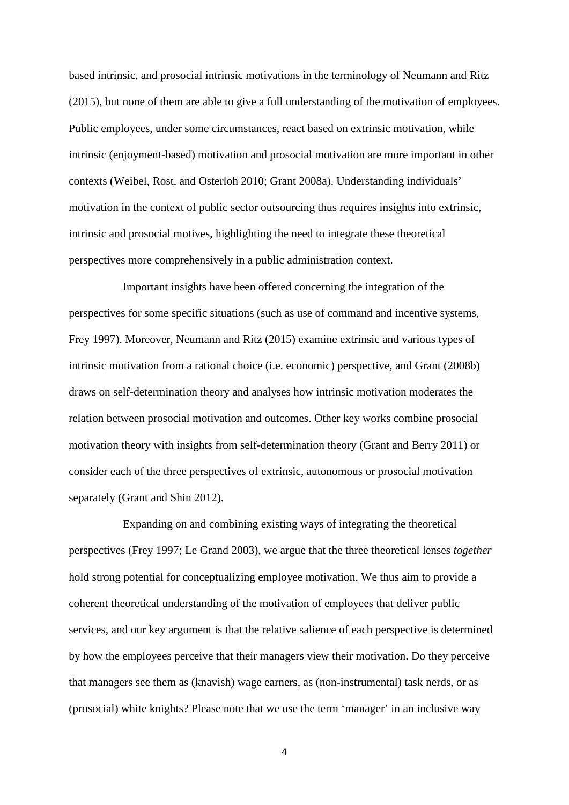based intrinsic, and prosocial intrinsic motivations in the terminology of Neumann and Ritz (2015), but none of them are able to give a full understanding of the motivation of employees. Public employees, under some circumstances, react based on extrinsic motivation, while intrinsic (enjoyment-based) motivation and prosocial motivation are more important in other contexts (Weibel, Rost, and Osterloh 2010; Grant 2008a). Understanding individuals' motivation in the context of public sector outsourcing thus requires insights into extrinsic, intrinsic and prosocial motives, highlighting the need to integrate these theoretical perspectives more comprehensively in a public administration context.

Important insights have been offered concerning the integration of the perspectives for some specific situations (such as use of command and incentive systems, Frey 1997). Moreover, Neumann and Ritz (2015) examine extrinsic and various types of intrinsic motivation from a rational choice (i.e. economic) perspective, and Grant (2008b) draws on self-determination theory and analyses how intrinsic motivation moderates the relation between prosocial motivation and outcomes. Other key works combine prosocial motivation theory with insights from self-determination theory (Grant and Berry 2011) or consider each of the three perspectives of extrinsic, autonomous or prosocial motivation separately (Grant and Shin 2012).

Expanding on and combining existing ways of integrating the theoretical perspectives (Frey 1997; Le Grand 2003), we argue that the three theoretical lenses *together* hold strong potential for conceptualizing employee motivation. We thus aim to provide a coherent theoretical understanding of the motivation of employees that deliver public services, and our key argument is that the relative salience of each perspective is determined by how the employees perceive that their managers view their motivation. Do they perceive that managers see them as (knavish) wage earners, as (non-instrumental) task nerds, or as (prosocial) white knights? Please note that we use the term 'manager' in an inclusive way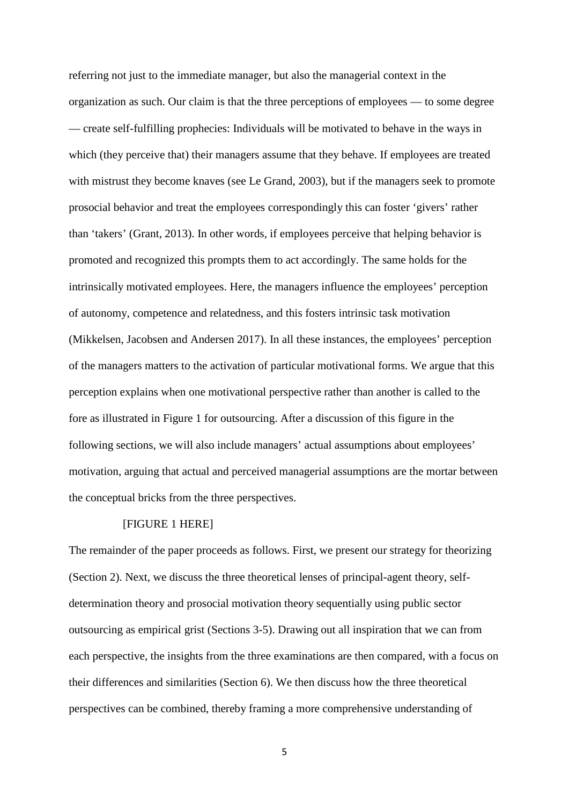referring not just to the immediate manager, but also the managerial context in the organization as such. Our claim is that the three perceptions of employees — to some degree — create self-fulfilling prophecies: Individuals will be motivated to behave in the ways in which (they perceive that) their managers assume that they behave. If employees are treated with mistrust they become knaves (see Le Grand, 2003), but if the managers seek to promote prosocial behavior and treat the employees correspondingly this can foster 'givers' rather than 'takers' (Grant, 2013). In other words, if employees perceive that helping behavior is promoted and recognized this prompts them to act accordingly. The same holds for the intrinsically motivated employees. Here, the managers influence the employees' perception of autonomy, competence and relatedness, and this fosters intrinsic task motivation (Mikkelsen, Jacobsen and Andersen 2017). In all these instances, the employees' perception of the managers matters to the activation of particular motivational forms. We argue that this perception explains when one motivational perspective rather than another is called to the fore as illustrated in Figure 1 for outsourcing. After a discussion of this figure in the following sections, we will also include managers' actual assumptions about employees' motivation, arguing that actual and perceived managerial assumptions are the mortar between the conceptual bricks from the three perspectives.

#### [FIGURE 1 HERE]

The remainder of the paper proceeds as follows. First, we present our strategy for theorizing (Section 2). Next, we discuss the three theoretical lenses of principal-agent theory, selfdetermination theory and prosocial motivation theory sequentially using public sector outsourcing as empirical grist (Sections 3-5). Drawing out all inspiration that we can from each perspective, the insights from the three examinations are then compared, with a focus on their differences and similarities (Section 6). We then discuss how the three theoretical perspectives can be combined, thereby framing a more comprehensive understanding of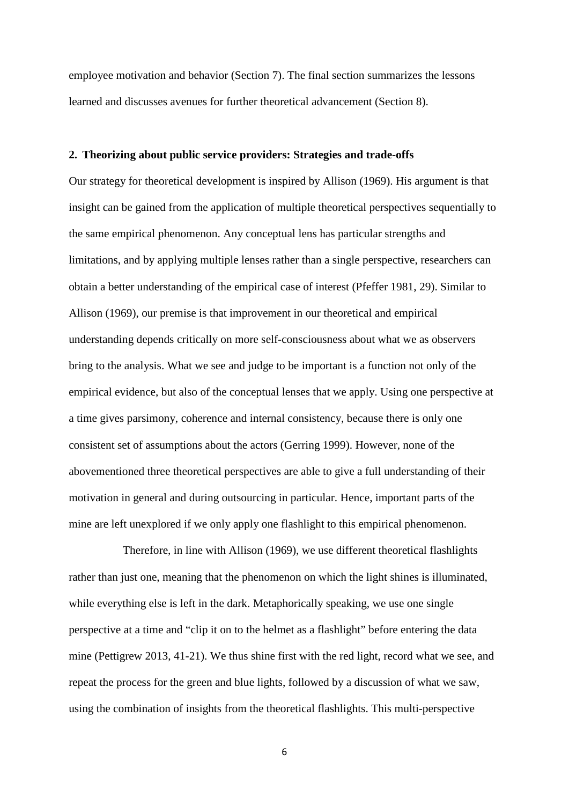employee motivation and behavior (Section 7). The final section summarizes the lessons learned and discusses avenues for further theoretical advancement (Section 8).

#### **2. Theorizing about public service providers: Strategies and trade-offs**

Our strategy for theoretical development is inspired by Allison (1969). His argument is that insight can be gained from the application of multiple theoretical perspectives sequentially to the same empirical phenomenon. Any conceptual lens has particular strengths and limitations, and by applying multiple lenses rather than a single perspective, researchers can obtain a better understanding of the empirical case of interest (Pfeffer 1981, 29). Similar to Allison (1969), our premise is that improvement in our theoretical and empirical understanding depends critically on more self-consciousness about what we as observers bring to the analysis. What we see and judge to be important is a function not only of the empirical evidence, but also of the conceptual lenses that we apply. Using one perspective at a time gives parsimony, coherence and internal consistency, because there is only one consistent set of assumptions about the actors (Gerring 1999). However, none of the abovementioned three theoretical perspectives are able to give a full understanding of their motivation in general and during outsourcing in particular. Hence, important parts of the mine are left unexplored if we only apply one flashlight to this empirical phenomenon.

Therefore, in line with Allison (1969), we use different theoretical flashlights rather than just one, meaning that the phenomenon on which the light shines is illuminated, while everything else is left in the dark. Metaphorically speaking, we use one single perspective at a time and "clip it on to the helmet as a flashlight" before entering the data mine (Pettigrew 2013, 41-21). We thus shine first with the red light, record what we see, and repeat the process for the green and blue lights, followed by a discussion of what we saw, using the combination of insights from the theoretical flashlights. This multi-perspective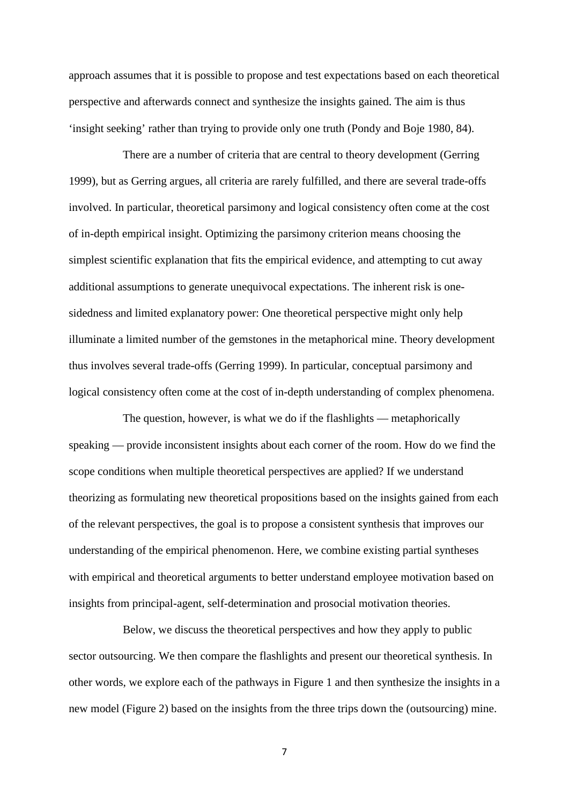approach assumes that it is possible to propose and test expectations based on each theoretical perspective and afterwards connect and synthesize the insights gained. The aim is thus 'insight seeking' rather than trying to provide only one truth (Pondy and Boje 1980, 84).

There are a number of criteria that are central to theory development (Gerring 1999), but as Gerring argues, all criteria are rarely fulfilled, and there are several trade-offs involved. In particular, theoretical parsimony and logical consistency often come at the cost of in-depth empirical insight. Optimizing the parsimony criterion means choosing the simplest scientific explanation that fits the empirical evidence, and attempting to cut away additional assumptions to generate unequivocal expectations. The inherent risk is onesidedness and limited explanatory power: One theoretical perspective might only help illuminate a limited number of the gemstones in the metaphorical mine. Theory development thus involves several trade-offs (Gerring 1999). In particular, conceptual parsimony and logical consistency often come at the cost of in-depth understanding of complex phenomena.

The question, however, is what we do if the flashlights — metaphorically speaking — provide inconsistent insights about each corner of the room. How do we find the scope conditions when multiple theoretical perspectives are applied? If we understand theorizing as formulating new theoretical propositions based on the insights gained from each of the relevant perspectives, the goal is to propose a consistent synthesis that improves our understanding of the empirical phenomenon. Here, we combine existing partial syntheses with empirical and theoretical arguments to better understand employee motivation based on insights from principal-agent, self-determination and prosocial motivation theories.

Below, we discuss the theoretical perspectives and how they apply to public sector outsourcing. We then compare the flashlights and present our theoretical synthesis. In other words, we explore each of the pathways in Figure 1 and then synthesize the insights in a new model (Figure 2) based on the insights from the three trips down the (outsourcing) mine.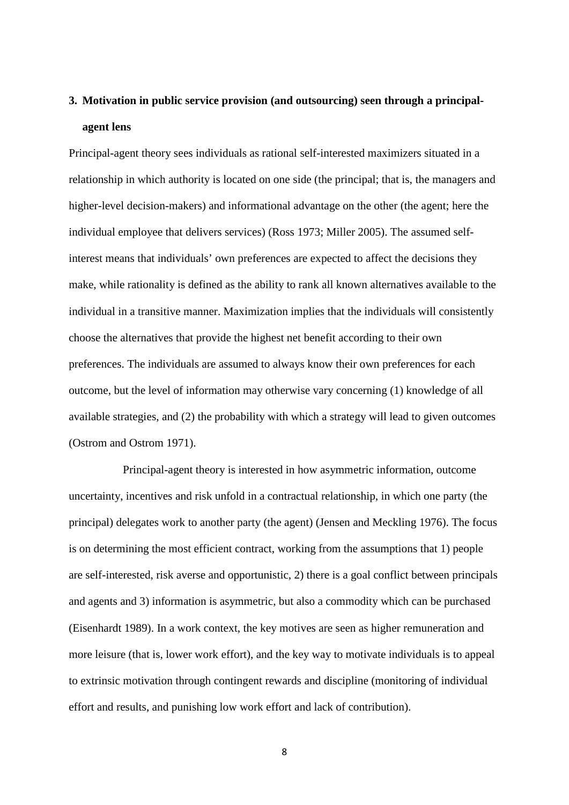# **3. Motivation in public service provision (and outsourcing) seen through a principalagent lens**

Principal-agent theory sees individuals as rational self-interested maximizers situated in a relationship in which authority is located on one side (the principal; that is, the managers and higher-level decision-makers) and informational advantage on the other (the agent; here the individual employee that delivers services) (Ross 1973; Miller 2005). The assumed selfinterest means that individuals' own preferences are expected to affect the decisions they make, while rationality is defined as the ability to rank all known alternatives available to the individual in a transitive manner. Maximization implies that the individuals will consistently choose the alternatives that provide the highest net benefit according to their own preferences. The individuals are assumed to always know their own preferences for each outcome, but the level of information may otherwise vary concerning (1) knowledge of all available strategies, and (2) the probability with which a strategy will lead to given outcomes (Ostrom and Ostrom 1971).

Principal-agent theory is interested in how asymmetric information, outcome uncertainty, incentives and risk unfold in a contractual relationship, in which one party (the principal) delegates work to another party (the agent) (Jensen and Meckling 1976). The focus is on determining the most efficient contract, working from the assumptions that 1) people are self-interested, risk averse and opportunistic, 2) there is a goal conflict between principals and agents and 3) information is asymmetric, but also a commodity which can be purchased (Eisenhardt 1989). In a work context, the key motives are seen as higher remuneration and more leisure (that is, lower work effort), and the key way to motivate individuals is to appeal to extrinsic motivation through contingent rewards and discipline (monitoring of individual effort and results, and punishing low work effort and lack of contribution).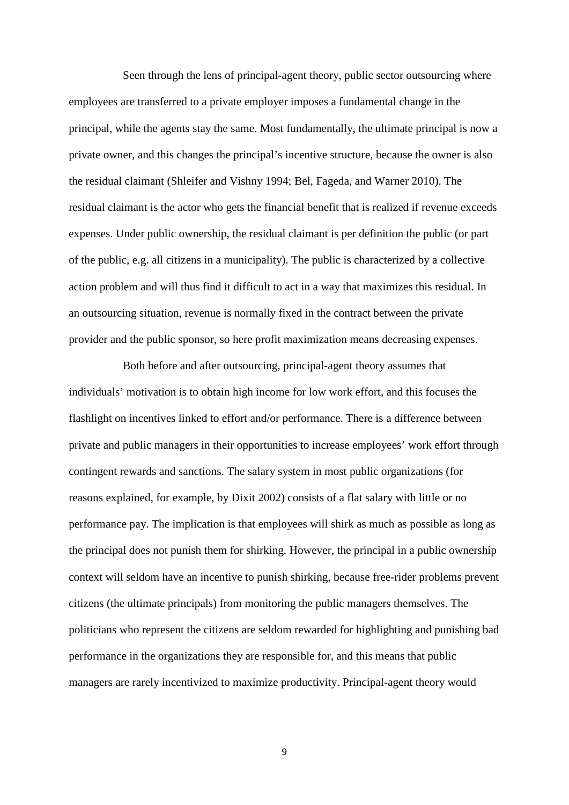Seen through the lens of principal-agent theory, public sector outsourcing where employees are transferred to a private employer imposes a fundamental change in the principal, while the agents stay the same. Most fundamentally, the ultimate principal is now a private owner, and this changes the principal's incentive structure, because the owner is also the residual claimant (Shleifer and Vishny 1994; Bel, Fageda, and Warner 2010). The residual claimant is the actor who gets the financial benefit that is realized if revenue exceeds expenses. Under public ownership, the residual claimant is per definition the public (or part of the public, e.g. all citizens in a municipality). The public is characterized by a collective action problem and will thus find it difficult to act in a way that maximizes this residual. In an outsourcing situation, revenue is normally fixed in the contract between the private provider and the public sponsor, so here profit maximization means decreasing expenses.

Both before and after outsourcing, principal-agent theory assumes that individuals' motivation is to obtain high income for low work effort, and this focuses the flashlight on incentives linked to effort and/or performance. There is a difference between private and public managers in their opportunities to increase employees' work effort through contingent rewards and sanctions. The salary system in most public organizations (for reasons explained, for example, by Dixit 2002) consists of a flat salary with little or no performance pay. The implication is that employees will shirk as much as possible as long as the principal does not punish them for shirking. However, the principal in a public ownership context will seldom have an incentive to punish shirking, because free-rider problems prevent citizens (the ultimate principals) from monitoring the public managers themselves. The politicians who represent the citizens are seldom rewarded for highlighting and punishing bad performance in the organizations they are responsible for, and this means that public managers are rarely incentivized to maximize productivity. Principal-agent theory would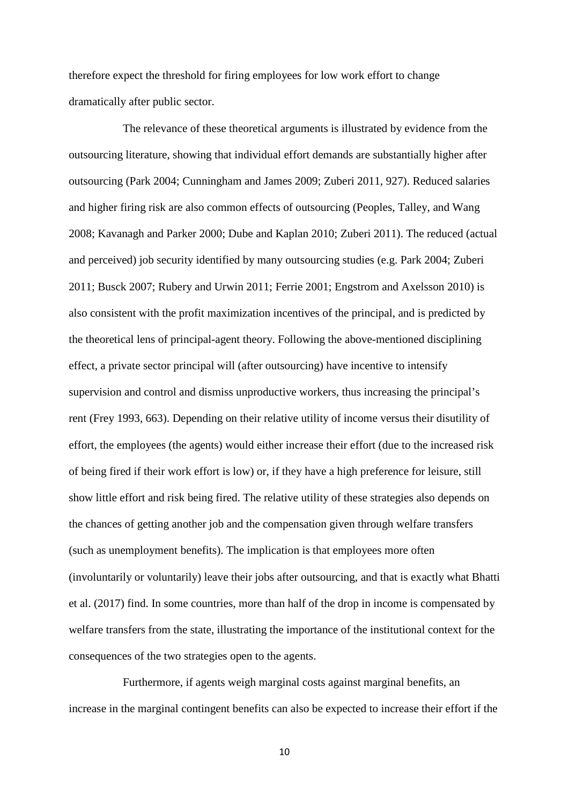therefore expect the threshold for firing employees for low work effort to change dramatically after public sector.

The relevance of these theoretical arguments is illustrated by evidence from the outsourcing literature, showing that individual effort demands are substantially higher after outsourcing (Park 2004; Cunningham and James 2009; Zuberi 2011, 927). Reduced salaries and higher firing risk are also common effects of outsourcing (Peoples, Talley, and Wang 2008; Kavanagh and Parker 2000; Dube and Kaplan 2010; Zuberi 2011). The reduced (actual and perceived) job security identified by many outsourcing studies (e.g. Park 2004; Zuberi 2011; Busck 2007; Rubery and Urwin 2011; Ferrie 2001; Engstrom and Axelsson 2010) is also consistent with the profit maximization incentives of the principal, and is predicted by the theoretical lens of principal-agent theory. Following the above-mentioned disciplining effect, a private sector principal will (after outsourcing) have incentive to intensify supervision and control and dismiss unproductive workers, thus increasing the principal's rent (Frey 1993, 663). Depending on their relative utility of income versus their disutility of effort, the employees (the agents) would either increase their effort (due to the increased risk of being fired if their work effort is low) or, if they have a high preference for leisure, still show little effort and risk being fired. The relative utility of these strategies also depends on the chances of getting another job and the compensation given through welfare transfers (such as unemployment benefits). The implication is that employees more often (involuntarily or voluntarily) leave their jobs after outsourcing, and that is exactly what Bhatti et al. (2017) find. In some countries, more than half of the drop in income is compensated by welfare transfers from the state, illustrating the importance of the institutional context for the consequences of the two strategies open to the agents.

Furthermore, if agents weigh marginal costs against marginal benefits, an increase in the marginal contingent benefits can also be expected to increase their effort if the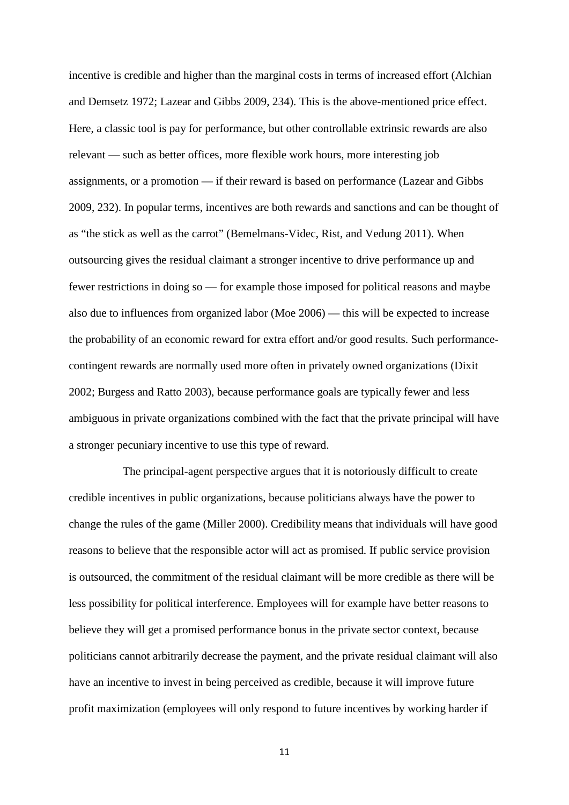incentive is credible and higher than the marginal costs in terms of increased effort (Alchian and Demsetz 1972; Lazear and Gibbs 2009, 234). This is the above-mentioned price effect. Here, a classic tool is pay for performance, but other controllable extrinsic rewards are also relevant — such as better offices, more flexible work hours, more interesting job assignments, or a promotion — if their reward is based on performance (Lazear and Gibbs 2009, 232). In popular terms, incentives are both rewards and sanctions and can be thought of as "the stick as well as the carrot" (Bemelmans-Videc, Rist, and Vedung 2011). When outsourcing gives the residual claimant a stronger incentive to drive performance up and fewer restrictions in doing so — for example those imposed for political reasons and maybe also due to influences from organized labor (Moe 2006) — this will be expected to increase the probability of an economic reward for extra effort and/or good results. Such performancecontingent rewards are normally used more often in privately owned organizations (Dixit 2002; Burgess and Ratto 2003), because performance goals are typically fewer and less ambiguous in private organizations combined with the fact that the private principal will have a stronger pecuniary incentive to use this type of reward.

The principal-agent perspective argues that it is notoriously difficult to create credible incentives in public organizations, because politicians always have the power to change the rules of the game (Miller 2000). Credibility means that individuals will have good reasons to believe that the responsible actor will act as promised. If public service provision is outsourced, the commitment of the residual claimant will be more credible as there will be less possibility for political interference. Employees will for example have better reasons to believe they will get a promised performance bonus in the private sector context, because politicians cannot arbitrarily decrease the payment, and the private residual claimant will also have an incentive to invest in being perceived as credible, because it will improve future profit maximization (employees will only respond to future incentives by working harder if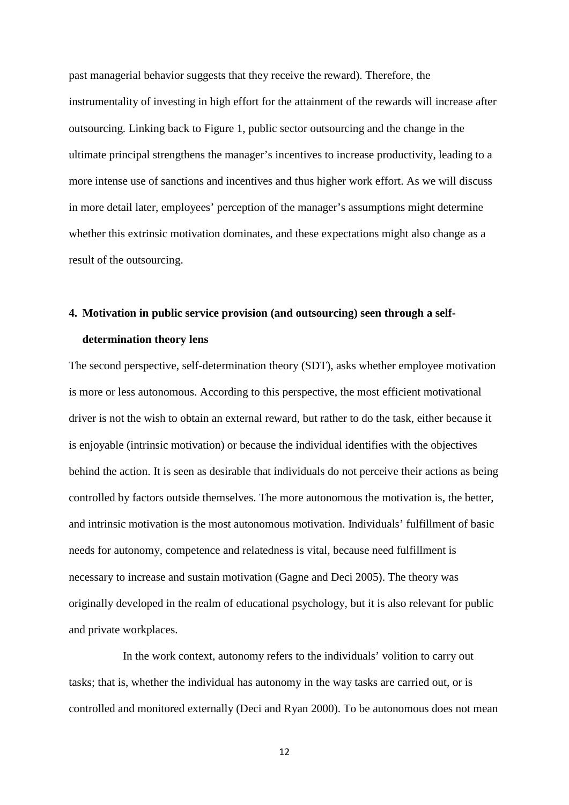past managerial behavior suggests that they receive the reward). Therefore, the instrumentality of investing in high effort for the attainment of the rewards will increase after outsourcing. Linking back to Figure 1, public sector outsourcing and the change in the ultimate principal strengthens the manager's incentives to increase productivity, leading to a more intense use of sanctions and incentives and thus higher work effort. As we will discuss in more detail later, employees' perception of the manager's assumptions might determine whether this extrinsic motivation dominates, and these expectations might also change as a result of the outsourcing.

#### **4. Motivation in public service provision (and outsourcing) seen through a self-**

#### **determination theory lens**

The second perspective, self-determination theory (SDT), asks whether employee motivation is more or less autonomous. According to this perspective, the most efficient motivational driver is not the wish to obtain an external reward, but rather to do the task, either because it is enjoyable (intrinsic motivation) or because the individual identifies with the objectives behind the action. It is seen as desirable that individuals do not perceive their actions as being controlled by factors outside themselves. The more autonomous the motivation is, the better, and intrinsic motivation is the most autonomous motivation. Individuals' fulfillment of basic needs for autonomy, competence and relatedness is vital, because need fulfillment is necessary to increase and sustain motivation (Gagne and Deci 2005). The theory was originally developed in the realm of educational psychology, but it is also relevant for public and private workplaces.

In the work context, autonomy refers to the individuals' volition to carry out tasks; that is, whether the individual has autonomy in the way tasks are carried out, or is controlled and monitored externally (Deci and Ryan 2000). To be autonomous does not mean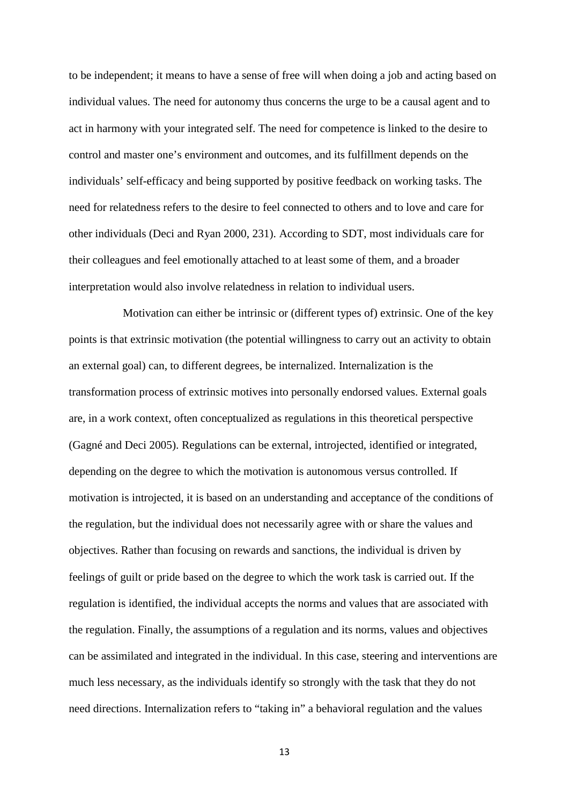to be independent; it means to have a sense of free will when doing a job and acting based on individual values. The need for autonomy thus concerns the urge to be a causal agent and to act in harmony with your integrated self. The need for competence is linked to the desire to control and master one's environment and outcomes, and its fulfillment depends on the individuals' self-efficacy and being supported by positive feedback on working tasks. The need for relatedness refers to the desire to feel connected to others and to love and care for other individuals (Deci and Ryan 2000, 231). According to SDT, most individuals care for their colleagues and feel emotionally attached to at least some of them, and a broader interpretation would also involve relatedness in relation to individual users.

Motivation can either be intrinsic or (different types of) extrinsic. One of the key points is that extrinsic motivation (the potential willingness to carry out an activity to obtain an external goal) can, to different degrees, be internalized. Internalization is the transformation process of extrinsic motives into personally endorsed values. External goals are, in a work context, often conceptualized as regulations in this theoretical perspective (Gagné and Deci 2005). Regulations can be external, introjected, identified or integrated, depending on the degree to which the motivation is autonomous versus controlled. If motivation is introjected, it is based on an understanding and acceptance of the conditions of the regulation, but the individual does not necessarily agree with or share the values and objectives. Rather than focusing on rewards and sanctions, the individual is driven by feelings of guilt or pride based on the degree to which the work task is carried out. If the regulation is identified, the individual accepts the norms and values that are associated with the regulation. Finally, the assumptions of a regulation and its norms, values and objectives can be assimilated and integrated in the individual. In this case, steering and interventions are much less necessary, as the individuals identify so strongly with the task that they do not need directions. Internalization refers to "taking in" a behavioral regulation and the values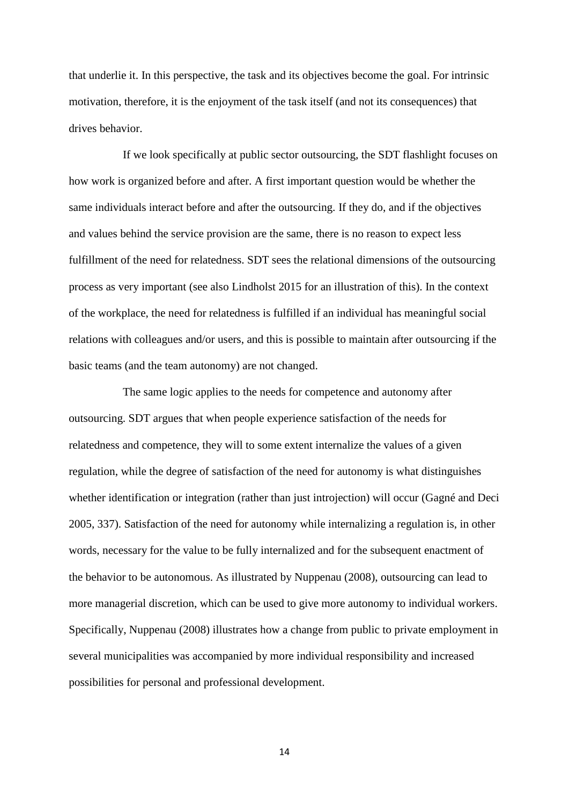that underlie it. In this perspective, the task and its objectives become the goal. For intrinsic motivation, therefore, it is the enjoyment of the task itself (and not its consequences) that drives behavior.

If we look specifically at public sector outsourcing, the SDT flashlight focuses on how work is organized before and after. A first important question would be whether the same individuals interact before and after the outsourcing. If they do, and if the objectives and values behind the service provision are the same, there is no reason to expect less fulfillment of the need for relatedness. SDT sees the relational dimensions of the outsourcing process as very important (see also Lindholst 2015 for an illustration of this). In the context of the workplace, the need for relatedness is fulfilled if an individual has meaningful social relations with colleagues and/or users, and this is possible to maintain after outsourcing if the basic teams (and the team autonomy) are not changed.

The same logic applies to the needs for competence and autonomy after outsourcing. SDT argues that when people experience satisfaction of the needs for relatedness and competence, they will to some extent internalize the values of a given regulation, while the degree of satisfaction of the need for autonomy is what distinguishes whether identification or integration (rather than just introjection) will occur (Gagné and Deci 2005, 337). Satisfaction of the need for autonomy while internalizing a regulation is, in other words, necessary for the value to be fully internalized and for the subsequent enactment of the behavior to be autonomous. As illustrated by Nuppenau (2008), outsourcing can lead to more managerial discretion, which can be used to give more autonomy to individual workers. Specifically, Nuppenau (2008) illustrates how a change from public to private employment in several municipalities was accompanied by more individual responsibility and increased possibilities for personal and professional development.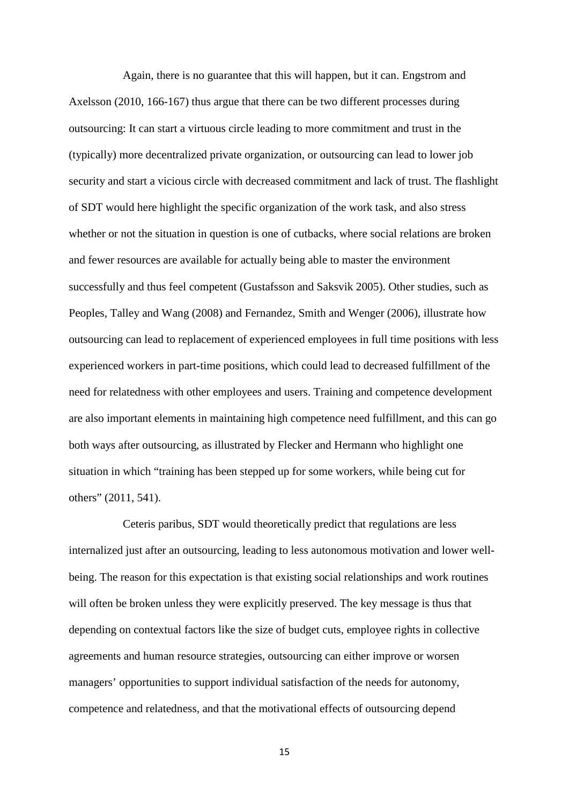Again, there is no guarantee that this will happen, but it can. Engstrom and Axelsson (2010, 166-167) thus argue that there can be two different processes during outsourcing: It can start a virtuous circle leading to more commitment and trust in the (typically) more decentralized private organization, or outsourcing can lead to lower job security and start a vicious circle with decreased commitment and lack of trust. The flashlight of SDT would here highlight the specific organization of the work task, and also stress whether or not the situation in question is one of cutbacks, where social relations are broken and fewer resources are available for actually being able to master the environment successfully and thus feel competent (Gustafsson and Saksvik 2005). Other studies, such as Peoples, Talley and Wang (2008) and Fernandez, Smith and Wenger (2006), illustrate how outsourcing can lead to replacement of experienced employees in full time positions with less experienced workers in part-time positions, which could lead to decreased fulfillment of the need for relatedness with other employees and users. Training and competence development are also important elements in maintaining high competence need fulfillment, and this can go both ways after outsourcing, as illustrated by Flecker and Hermann who highlight one situation in which "training has been stepped up for some workers, while being cut for others" (2011, 541).

Ceteris paribus, SDT would theoretically predict that regulations are less internalized just after an outsourcing, leading to less autonomous motivation and lower wellbeing. The reason for this expectation is that existing social relationships and work routines will often be broken unless they were explicitly preserved. The key message is thus that depending on contextual factors like the size of budget cuts, employee rights in collective agreements and human resource strategies, outsourcing can either improve or worsen managers' opportunities to support individual satisfaction of the needs for autonomy, competence and relatedness, and that the motivational effects of outsourcing depend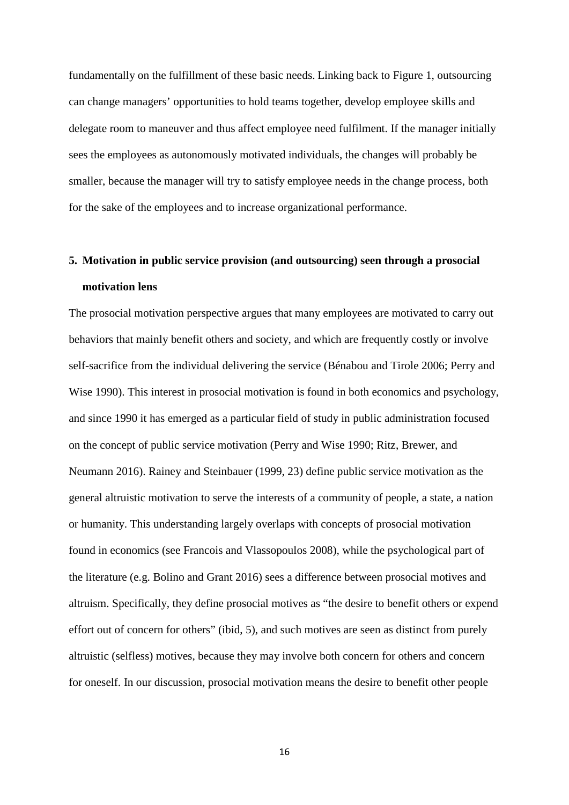fundamentally on the fulfillment of these basic needs. Linking back to Figure 1, outsourcing can change managers' opportunities to hold teams together, develop employee skills and delegate room to maneuver and thus affect employee need fulfilment. If the manager initially sees the employees as autonomously motivated individuals, the changes will probably be smaller, because the manager will try to satisfy employee needs in the change process, both for the sake of the employees and to increase organizational performance.

## **5. Motivation in public service provision (and outsourcing) seen through a prosocial motivation lens**

The prosocial motivation perspective argues that many employees are motivated to carry out behaviors that mainly benefit others and society, and which are frequently costly or involve self-sacrifice from the individual delivering the service (Bénabou and Tirole 2006; Perry and Wise 1990). This interest in prosocial motivation is found in both economics and psychology, and since 1990 it has emerged as a particular field of study in public administration focused on the concept of public service motivation (Perry and Wise 1990; Ritz, Brewer, and Neumann 2016). Rainey and Steinbauer (1999, 23) define public service motivation as the general altruistic motivation to serve the interests of a community of people, a state, a nation or humanity. This understanding largely overlaps with concepts of prosocial motivation found in economics (see Francois and Vlassopoulos 2008), while the psychological part of the literature (e.g. Bolino and Grant 2016) sees a difference between prosocial motives and altruism. Specifically, they define prosocial motives as "the desire to benefit others or expend effort out of concern for others" (ibid, 5), and such motives are seen as distinct from purely altruistic (selfless) motives, because they may involve both concern for others and concern for oneself. In our discussion, prosocial motivation means the desire to benefit other people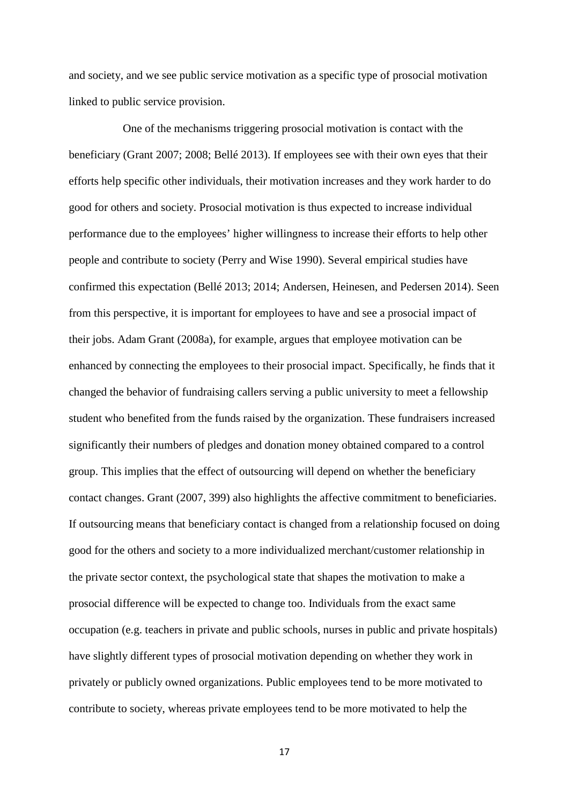and society, and we see public service motivation as a specific type of prosocial motivation linked to public service provision.

One of the mechanisms triggering prosocial motivation is contact with the beneficiary (Grant 2007; 2008; Bellé 2013). If employees see with their own eyes that their efforts help specific other individuals, their motivation increases and they work harder to do good for others and society. Prosocial motivation is thus expected to increase individual performance due to the employees' higher willingness to increase their efforts to help other people and contribute to society (Perry and Wise 1990). Several empirical studies have confirmed this expectation (Bellé 2013; 2014; Andersen, Heinesen, and Pedersen 2014). Seen from this perspective, it is important for employees to have and see a prosocial impact of their jobs. Adam Grant (2008a), for example, argues that employee motivation can be enhanced by connecting the employees to their prosocial impact. Specifically, he finds that it changed the behavior of fundraising callers serving a public university to meet a fellowship student who benefited from the funds raised by the organization. These fundraisers increased significantly their numbers of pledges and donation money obtained compared to a control group. This implies that the effect of outsourcing will depend on whether the beneficiary contact changes. Grant (2007, 399) also highlights the affective commitment to beneficiaries. If outsourcing means that beneficiary contact is changed from a relationship focused on doing good for the others and society to a more individualized merchant/customer relationship in the private sector context, the psychological state that shapes the motivation to make a prosocial difference will be expected to change too. Individuals from the exact same occupation (e.g. teachers in private and public schools, nurses in public and private hospitals) have slightly different types of prosocial motivation depending on whether they work in privately or publicly owned organizations. Public employees tend to be more motivated to contribute to society, whereas private employees tend to be more motivated to help the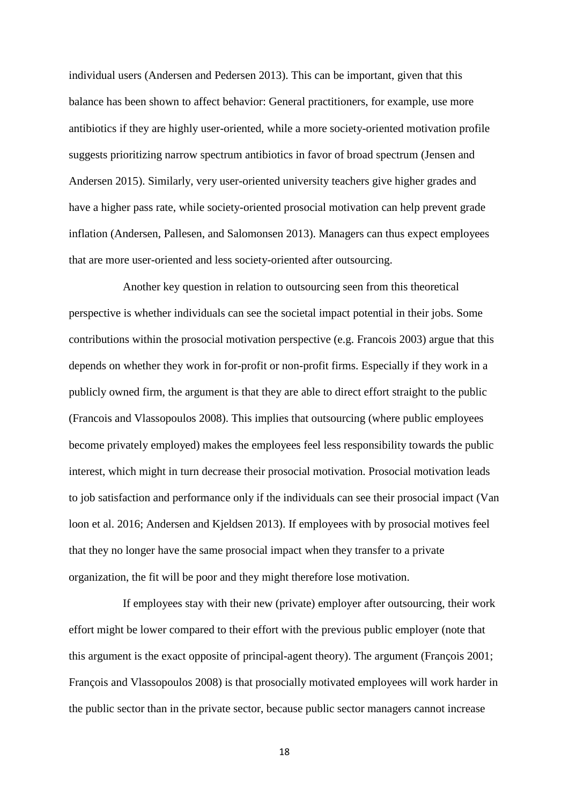individual users (Andersen and Pedersen 2013). This can be important, given that this balance has been shown to affect behavior: General practitioners, for example, use more antibiotics if they are highly user-oriented, while a more society-oriented motivation profile suggests prioritizing narrow spectrum antibiotics in favor of broad spectrum (Jensen and Andersen 2015). Similarly, very user-oriented university teachers give higher grades and have a higher pass rate, while society-oriented prosocial motivation can help prevent grade inflation (Andersen, Pallesen, and Salomonsen 2013). Managers can thus expect employees that are more user-oriented and less society-oriented after outsourcing.

Another key question in relation to outsourcing seen from this theoretical perspective is whether individuals can see the societal impact potential in their jobs. Some contributions within the prosocial motivation perspective (e.g. Francois 2003) argue that this depends on whether they work in for-profit or non-profit firms. Especially if they work in a publicly owned firm, the argument is that they are able to direct effort straight to the public (Francois and Vlassopoulos 2008). This implies that outsourcing (where public employees become privately employed) makes the employees feel less responsibility towards the public interest, which might in turn decrease their prosocial motivation. Prosocial motivation leads to job satisfaction and performance only if the individuals can see their prosocial impact (Van loon et al. 2016; Andersen and Kjeldsen 2013). If employees with by prosocial motives feel that they no longer have the same prosocial impact when they transfer to a private organization, the fit will be poor and they might therefore lose motivation.

If employees stay with their new (private) employer after outsourcing, their work effort might be lower compared to their effort with the previous public employer (note that this argument is the exact opposite of principal-agent theory). The argument (François 2001; François and Vlassopoulos 2008) is that prosocially motivated employees will work harder in the public sector than in the private sector, because public sector managers cannot increase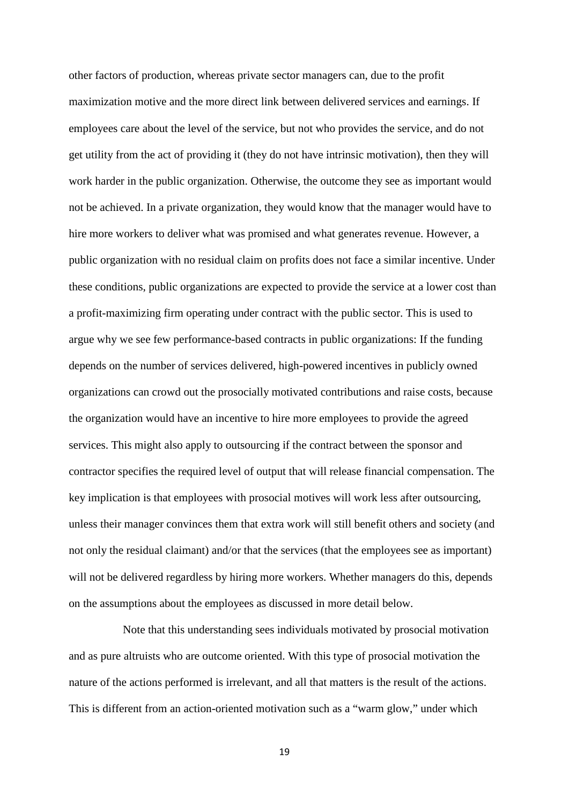other factors of production, whereas private sector managers can, due to the profit maximization motive and the more direct link between delivered services and earnings. If employees care about the level of the service, but not who provides the service, and do not get utility from the act of providing it (they do not have intrinsic motivation), then they will work harder in the public organization. Otherwise, the outcome they see as important would not be achieved. In a private organization, they would know that the manager would have to hire more workers to deliver what was promised and what generates revenue. However, a public organization with no residual claim on profits does not face a similar incentive. Under these conditions, public organizations are expected to provide the service at a lower cost than a profit-maximizing firm operating under contract with the public sector. This is used to argue why we see few performance-based contracts in public organizations: If the funding depends on the number of services delivered, high-powered incentives in publicly owned organizations can crowd out the prosocially motivated contributions and raise costs, because the organization would have an incentive to hire more employees to provide the agreed services. This might also apply to outsourcing if the contract between the sponsor and contractor specifies the required level of output that will release financial compensation. The key implication is that employees with prosocial motives will work less after outsourcing, unless their manager convinces them that extra work will still benefit others and society (and not only the residual claimant) and/or that the services (that the employees see as important) will not be delivered regardless by hiring more workers. Whether managers do this, depends on the assumptions about the employees as discussed in more detail below.

Note that this understanding sees individuals motivated by prosocial motivation and as pure altruists who are outcome oriented. With this type of prosocial motivation the nature of the actions performed is irrelevant, and all that matters is the result of the actions. This is different from an action-oriented motivation such as a "warm glow," under which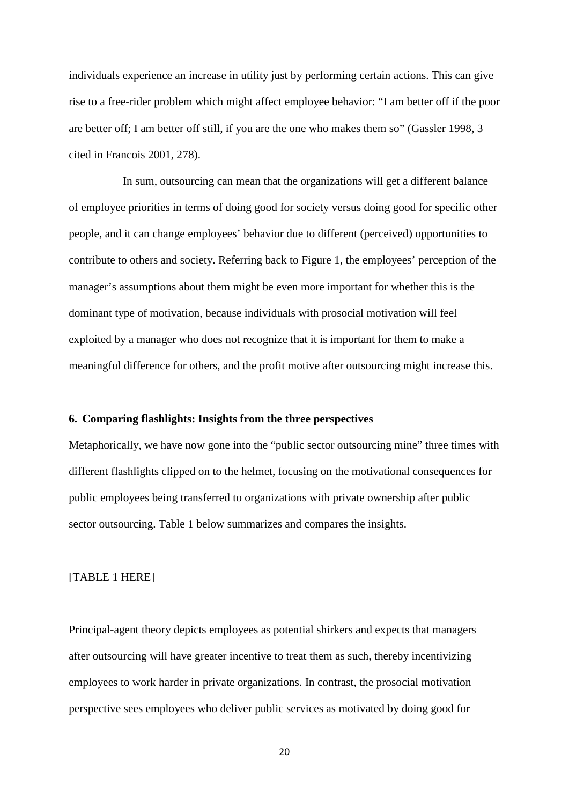individuals experience an increase in utility just by performing certain actions. This can give rise to a free-rider problem which might affect employee behavior: "I am better off if the poor are better off; I am better off still, if you are the one who makes them so" (Gassler 1998, 3 cited in Francois 2001, 278).

In sum, outsourcing can mean that the organizations will get a different balance of employee priorities in terms of doing good for society versus doing good for specific other people, and it can change employees' behavior due to different (perceived) opportunities to contribute to others and society. Referring back to Figure 1, the employees' perception of the manager's assumptions about them might be even more important for whether this is the dominant type of motivation, because individuals with prosocial motivation will feel exploited by a manager who does not recognize that it is important for them to make a meaningful difference for others, and the profit motive after outsourcing might increase this.

#### **6. Comparing flashlights: Insights from the three perspectives**

Metaphorically, we have now gone into the "public sector outsourcing mine" three times with different flashlights clipped on to the helmet, focusing on the motivational consequences for public employees being transferred to organizations with private ownership after public sector outsourcing. Table 1 below summarizes and compares the insights.

#### [TABLE 1 HERE]

Principal-agent theory depicts employees as potential shirkers and expects that managers after outsourcing will have greater incentive to treat them as such, thereby incentivizing employees to work harder in private organizations. In contrast, the prosocial motivation perspective sees employees who deliver public services as motivated by doing good for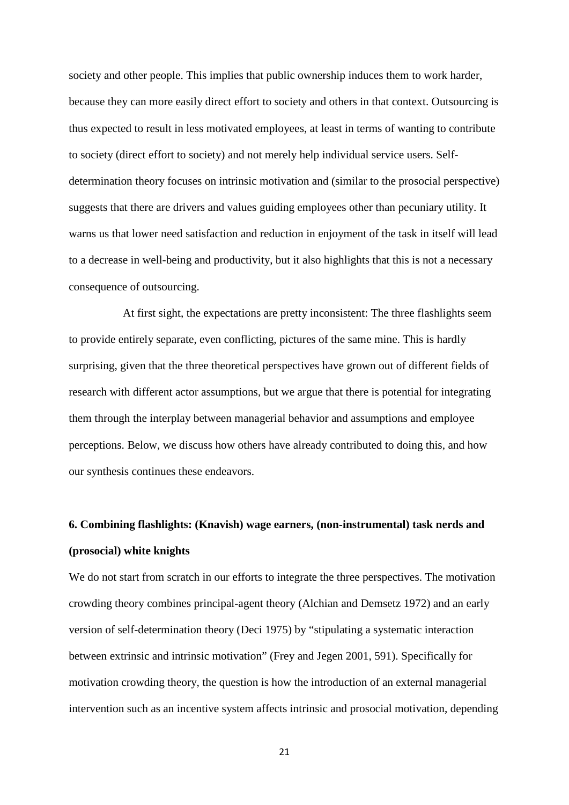society and other people. This implies that public ownership induces them to work harder, because they can more easily direct effort to society and others in that context. Outsourcing is thus expected to result in less motivated employees, at least in terms of wanting to contribute to society (direct effort to society) and not merely help individual service users. Selfdetermination theory focuses on intrinsic motivation and (similar to the prosocial perspective) suggests that there are drivers and values guiding employees other than pecuniary utility. It warns us that lower need satisfaction and reduction in enjoyment of the task in itself will lead to a decrease in well-being and productivity, but it also highlights that this is not a necessary consequence of outsourcing.

At first sight, the expectations are pretty inconsistent: The three flashlights seem to provide entirely separate, even conflicting, pictures of the same mine. This is hardly surprising, given that the three theoretical perspectives have grown out of different fields of research with different actor assumptions, but we argue that there is potential for integrating them through the interplay between managerial behavior and assumptions and employee perceptions. Below, we discuss how others have already contributed to doing this, and how our synthesis continues these endeavors.

# **6. Combining flashlights: (Knavish) wage earners, (non-instrumental) task nerds and (prosocial) white knights**

We do not start from scratch in our efforts to integrate the three perspectives. The motivation crowding theory combines principal-agent theory (Alchian and Demsetz 1972) and an early version of self-determination theory (Deci 1975) by "stipulating a systematic interaction between extrinsic and intrinsic motivation" (Frey and Jegen 2001, 591). Specifically for motivation crowding theory, the question is how the introduction of an external managerial intervention such as an incentive system affects intrinsic and prosocial motivation, depending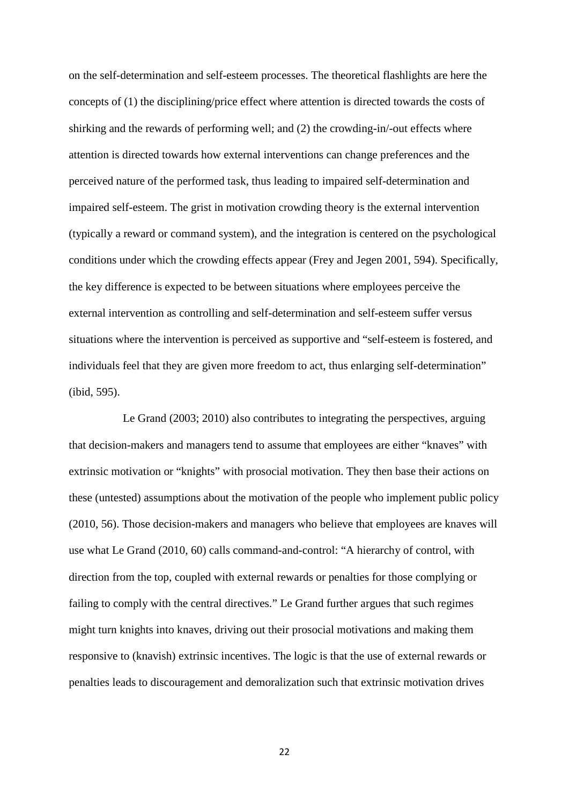on the self-determination and self-esteem processes. The theoretical flashlights are here the concepts of (1) the disciplining/price effect where attention is directed towards the costs of shirking and the rewards of performing well; and (2) the crowding-in/-out effects where attention is directed towards how external interventions can change preferences and the perceived nature of the performed task, thus leading to impaired self-determination and impaired self-esteem. The grist in motivation crowding theory is the external intervention (typically a reward or command system), and the integration is centered on the psychological conditions under which the crowding effects appear (Frey and Jegen 2001, 594). Specifically, the key difference is expected to be between situations where employees perceive the external intervention as controlling and self-determination and self-esteem suffer versus situations where the intervention is perceived as supportive and "self-esteem is fostered, and individuals feel that they are given more freedom to act, thus enlarging self-determination" (ibid, 595).

Le Grand (2003; 2010) also contributes to integrating the perspectives, arguing that decision-makers and managers tend to assume that employees are either "knaves" with extrinsic motivation or "knights" with prosocial motivation. They then base their actions on these (untested) assumptions about the motivation of the people who implement public policy (2010, 56). Those decision-makers and managers who believe that employees are knaves will use what Le Grand (2010, 60) calls command-and-control: "A hierarchy of control, with direction from the top, coupled with external rewards or penalties for those complying or failing to comply with the central directives." Le Grand further argues that such regimes might turn knights into knaves, driving out their prosocial motivations and making them responsive to (knavish) extrinsic incentives. The logic is that the use of external rewards or penalties leads to discouragement and demoralization such that extrinsic motivation drives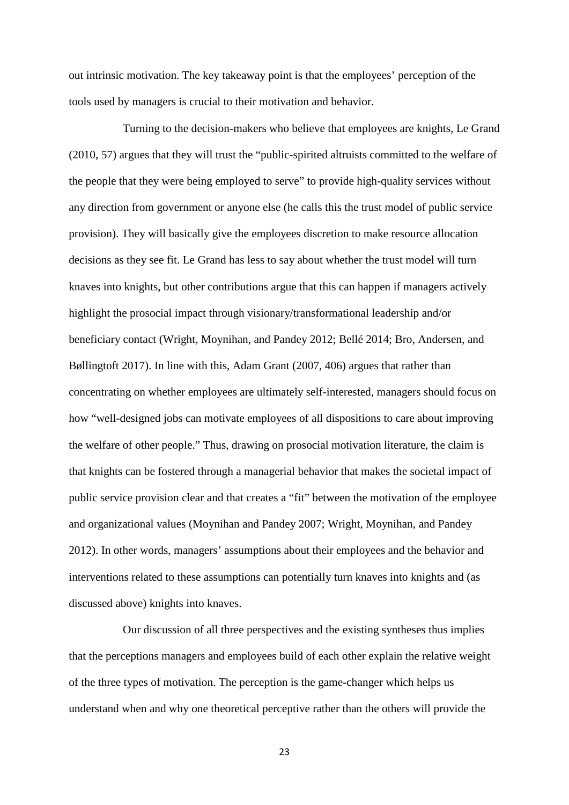out intrinsic motivation. The key takeaway point is that the employees' perception of the tools used by managers is crucial to their motivation and behavior.

Turning to the decision-makers who believe that employees are knights, Le Grand (2010, 57) argues that they will trust the "public-spirited altruists committed to the welfare of the people that they were being employed to serve" to provide high-quality services without any direction from government or anyone else (he calls this the trust model of public service provision). They will basically give the employees discretion to make resource allocation decisions as they see fit. Le Grand has less to say about whether the trust model will turn knaves into knights, but other contributions argue that this can happen if managers actively highlight the prosocial impact through visionary/transformational leadership and/or beneficiary contact (Wright, Moynihan, and Pandey 2012; Bellé 2014; Bro, Andersen, and Bøllingtoft 2017). In line with this, Adam Grant (2007, 406) argues that rather than concentrating on whether employees are ultimately self-interested, managers should focus on how "well-designed jobs can motivate employees of all dispositions to care about improving the welfare of other people." Thus, drawing on prosocial motivation literature, the claim is that knights can be fostered through a managerial behavior that makes the societal impact of public service provision clear and that creates a "fit" between the motivation of the employee and organizational values (Moynihan and Pandey 2007; Wright, Moynihan, and Pandey 2012). In other words, managers' assumptions about their employees and the behavior and interventions related to these assumptions can potentially turn knaves into knights and (as discussed above) knights into knaves.

Our discussion of all three perspectives and the existing syntheses thus implies that the perceptions managers and employees build of each other explain the relative weight of the three types of motivation. The perception is the game-changer which helps us understand when and why one theoretical perceptive rather than the others will provide the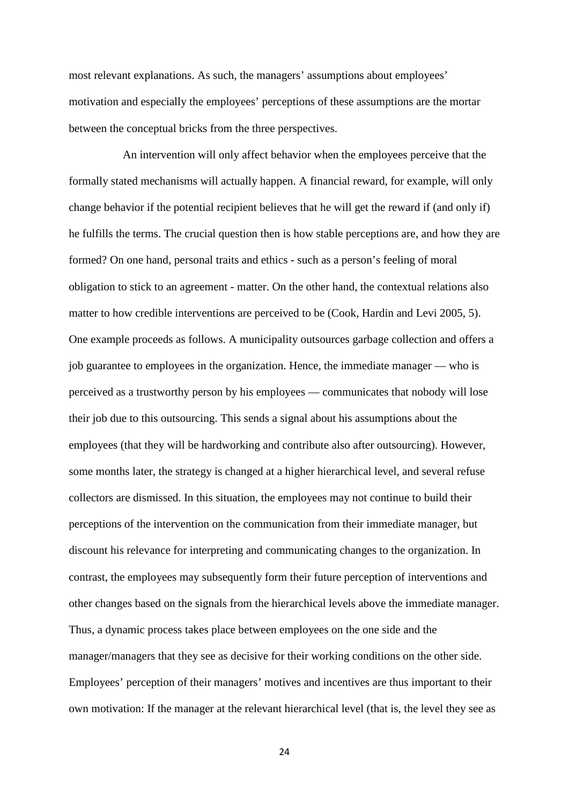most relevant explanations. As such, the managers' assumptions about employees' motivation and especially the employees' perceptions of these assumptions are the mortar between the conceptual bricks from the three perspectives.

An intervention will only affect behavior when the employees perceive that the formally stated mechanisms will actually happen. A financial reward, for example, will only change behavior if the potential recipient believes that he will get the reward if (and only if) he fulfills the terms. The crucial question then is how stable perceptions are, and how they are formed? On one hand, personal traits and ethics - such as a person's feeling of moral obligation to stick to an agreement - matter. On the other hand, the contextual relations also matter to how credible interventions are perceived to be (Cook, Hardin and Levi 2005, 5). One example proceeds as follows. A municipality outsources garbage collection and offers a job guarantee to employees in the organization. Hence, the immediate manager — who is perceived as a trustworthy person by his employees — communicates that nobody will lose their job due to this outsourcing. This sends a signal about his assumptions about the employees (that they will be hardworking and contribute also after outsourcing). However, some months later, the strategy is changed at a higher hierarchical level, and several refuse collectors are dismissed. In this situation, the employees may not continue to build their perceptions of the intervention on the communication from their immediate manager, but discount his relevance for interpreting and communicating changes to the organization. In contrast, the employees may subsequently form their future perception of interventions and other changes based on the signals from the hierarchical levels above the immediate manager. Thus, a dynamic process takes place between employees on the one side and the manager/managers that they see as decisive for their working conditions on the other side. Employees' perception of their managers' motives and incentives are thus important to their own motivation: If the manager at the relevant hierarchical level (that is, the level they see as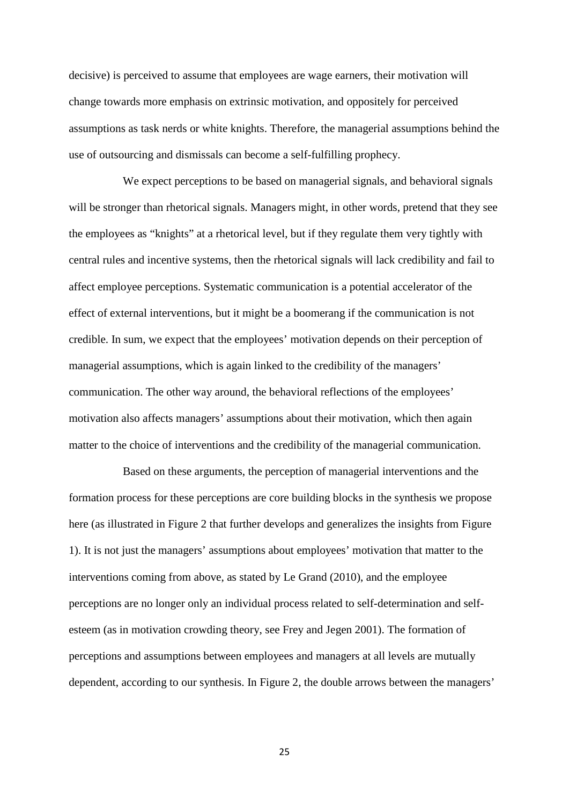decisive) is perceived to assume that employees are wage earners, their motivation will change towards more emphasis on extrinsic motivation, and oppositely for perceived assumptions as task nerds or white knights. Therefore, the managerial assumptions behind the use of outsourcing and dismissals can become a self-fulfilling prophecy.

We expect perceptions to be based on managerial signals, and behavioral signals will be stronger than rhetorical signals. Managers might, in other words, pretend that they see the employees as "knights" at a rhetorical level, but if they regulate them very tightly with central rules and incentive systems, then the rhetorical signals will lack credibility and fail to affect employee perceptions. Systematic communication is a potential accelerator of the effect of external interventions, but it might be a boomerang if the communication is not credible. In sum, we expect that the employees' motivation depends on their perception of managerial assumptions, which is again linked to the credibility of the managers' communication. The other way around, the behavioral reflections of the employees' motivation also affects managers' assumptions about their motivation, which then again matter to the choice of interventions and the credibility of the managerial communication.

Based on these arguments, the perception of managerial interventions and the formation process for these perceptions are core building blocks in the synthesis we propose here (as illustrated in Figure 2 that further develops and generalizes the insights from Figure 1). It is not just the managers' assumptions about employees' motivation that matter to the interventions coming from above, as stated by Le Grand (2010), and the employee perceptions are no longer only an individual process related to self-determination and selfesteem (as in motivation crowding theory, see Frey and Jegen 2001). The formation of perceptions and assumptions between employees and managers at all levels are mutually dependent, according to our synthesis. In Figure 2, the double arrows between the managers'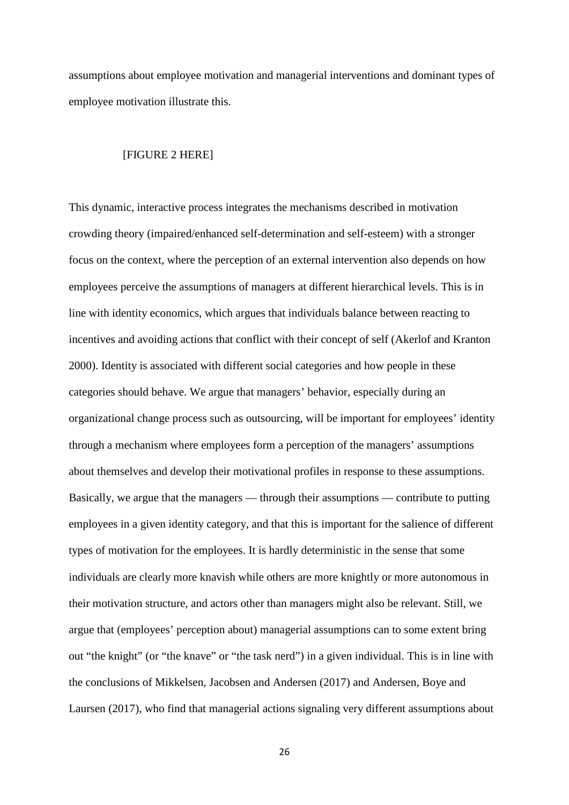assumptions about employee motivation and managerial interventions and dominant types of employee motivation illustrate this.

#### [FIGURE 2 HERE]

This dynamic, interactive process integrates the mechanisms described in motivation crowding theory (impaired/enhanced self-determination and self-esteem) with a stronger focus on the context, where the perception of an external intervention also depends on how employees perceive the assumptions of managers at different hierarchical levels. This is in line with identity economics, which argues that individuals balance between reacting to incentives and avoiding actions that conflict with their concept of self (Akerlof and Kranton 2000). Identity is associated with different social categories and how people in these categories should behave. We argue that managers' behavior, especially during an organizational change process such as outsourcing, will be important for employees' identity through a mechanism where employees form a perception of the managers' assumptions about themselves and develop their motivational profiles in response to these assumptions. Basically, we argue that the managers — through their assumptions — contribute to putting employees in a given identity category, and that this is important for the salience of different types of motivation for the employees. It is hardly deterministic in the sense that some individuals are clearly more knavish while others are more knightly or more autonomous in their motivation structure, and actors other than managers might also be relevant. Still, we argue that (employees' perception about) managerial assumptions can to some extent bring out "the knight" (or "the knave" or "the task nerd") in a given individual. This is in line with the conclusions of Mikkelsen, Jacobsen and Andersen (2017) and Andersen, Boye and Laursen (2017), who find that managerial actions signaling very different assumptions about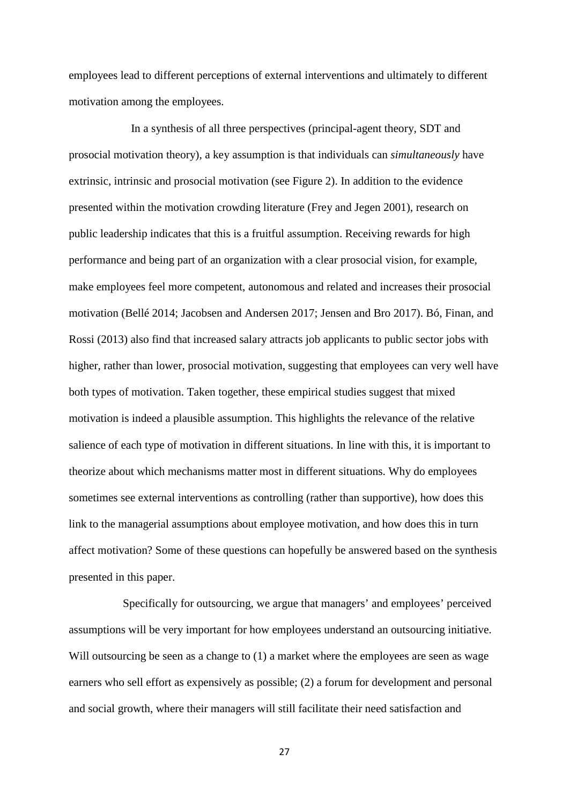employees lead to different perceptions of external interventions and ultimately to different motivation among the employees.

In a synthesis of all three perspectives (principal-agent theory, SDT and prosocial motivation theory), a key assumption is that individuals can *simultaneously* have extrinsic, intrinsic and prosocial motivation (see Figure 2). In addition to the evidence presented within the motivation crowding literature (Frey and Jegen 2001), research on public leadership indicates that this is a fruitful assumption. Receiving rewards for high performance and being part of an organization with a clear prosocial vision, for example, make employees feel more competent, autonomous and related and increases their prosocial motivation (Bellé 2014; Jacobsen and Andersen 2017; Jensen and Bro 2017). Bó, Finan, and Rossi (2013) also find that increased salary attracts job applicants to public sector jobs with higher, rather than lower, prosocial motivation, suggesting that employees can very well have both types of motivation. Taken together, these empirical studies suggest that mixed motivation is indeed a plausible assumption. This highlights the relevance of the relative salience of each type of motivation in different situations. In line with this, it is important to theorize about which mechanisms matter most in different situations. Why do employees sometimes see external interventions as controlling (rather than supportive), how does this link to the managerial assumptions about employee motivation, and how does this in turn affect motivation? Some of these questions can hopefully be answered based on the synthesis presented in this paper.

Specifically for outsourcing, we argue that managers' and employees' perceived assumptions will be very important for how employees understand an outsourcing initiative. Will outsourcing be seen as a change to (1) a market where the employees are seen as wage earners who sell effort as expensively as possible; (2) a forum for development and personal and social growth, where their managers will still facilitate their need satisfaction and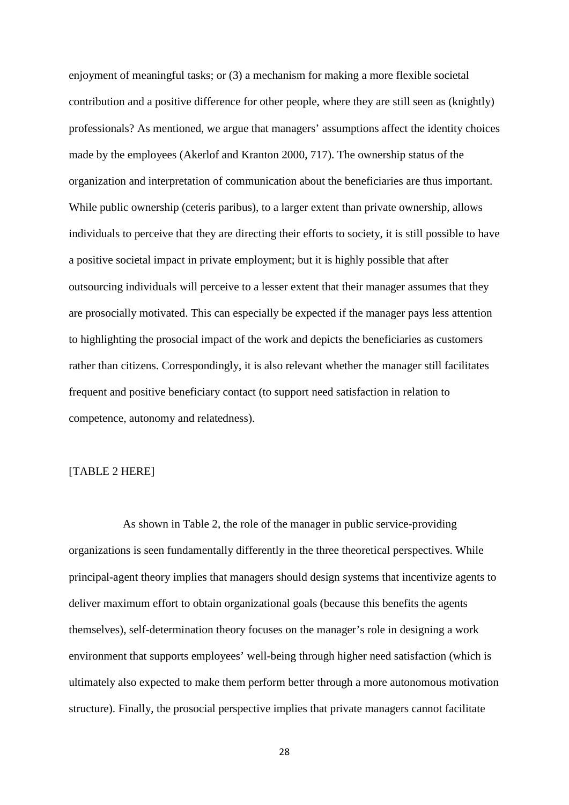enjoyment of meaningful tasks; or (3) a mechanism for making a more flexible societal contribution and a positive difference for other people, where they are still seen as (knightly) professionals? As mentioned, we argue that managers' assumptions affect the identity choices made by the employees (Akerlof and Kranton 2000, 717). The ownership status of the organization and interpretation of communication about the beneficiaries are thus important. While public ownership (ceteris paribus), to a larger extent than private ownership, allows individuals to perceive that they are directing their efforts to society, it is still possible to have a positive societal impact in private employment; but it is highly possible that after outsourcing individuals will perceive to a lesser extent that their manager assumes that they are prosocially motivated. This can especially be expected if the manager pays less attention to highlighting the prosocial impact of the work and depicts the beneficiaries as customers rather than citizens. Correspondingly, it is also relevant whether the manager still facilitates frequent and positive beneficiary contact (to support need satisfaction in relation to competence, autonomy and relatedness).

#### [TABLE 2 HERE]

As shown in Table 2, the role of the manager in public service-providing organizations is seen fundamentally differently in the three theoretical perspectives. While principal-agent theory implies that managers should design systems that incentivize agents to deliver maximum effort to obtain organizational goals (because this benefits the agents themselves), self-determination theory focuses on the manager's role in designing a work environment that supports employees' well-being through higher need satisfaction (which is ultimately also expected to make them perform better through a more autonomous motivation structure). Finally, the prosocial perspective implies that private managers cannot facilitate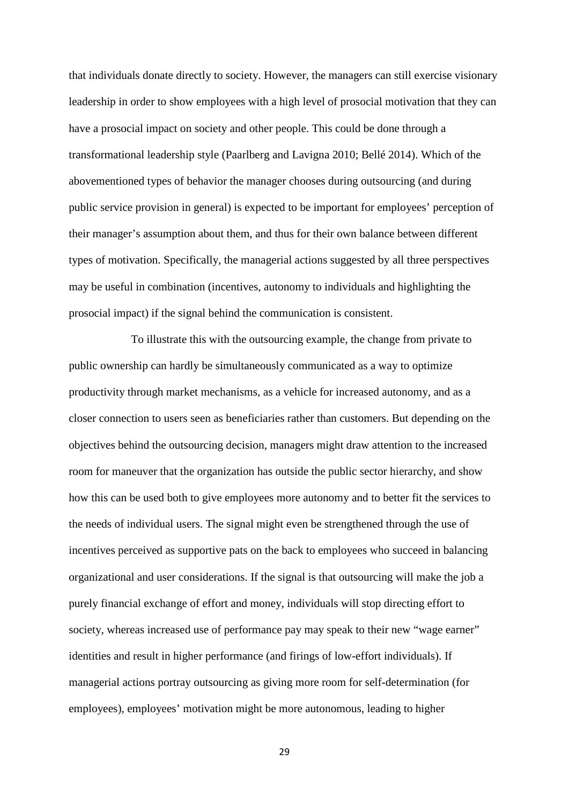that individuals donate directly to society. However, the managers can still exercise visionary leadership in order to show employees with a high level of prosocial motivation that they can have a prosocial impact on society and other people. This could be done through a transformational leadership style (Paarlberg and Lavigna 2010; Bellé 2014). Which of the abovementioned types of behavior the manager chooses during outsourcing (and during public service provision in general) is expected to be important for employees' perception of their manager's assumption about them, and thus for their own balance between different types of motivation. Specifically, the managerial actions suggested by all three perspectives may be useful in combination (incentives, autonomy to individuals and highlighting the prosocial impact) if the signal behind the communication is consistent.

To illustrate this with the outsourcing example, the change from private to public ownership can hardly be simultaneously communicated as a way to optimize productivity through market mechanisms, as a vehicle for increased autonomy, and as a closer connection to users seen as beneficiaries rather than customers. But depending on the objectives behind the outsourcing decision, managers might draw attention to the increased room for maneuver that the organization has outside the public sector hierarchy, and show how this can be used both to give employees more autonomy and to better fit the services to the needs of individual users. The signal might even be strengthened through the use of incentives perceived as supportive pats on the back to employees who succeed in balancing organizational and user considerations. If the signal is that outsourcing will make the job a purely financial exchange of effort and money, individuals will stop directing effort to society, whereas increased use of performance pay may speak to their new "wage earner" identities and result in higher performance (and firings of low-effort individuals). If managerial actions portray outsourcing as giving more room for self-determination (for employees), employees' motivation might be more autonomous, leading to higher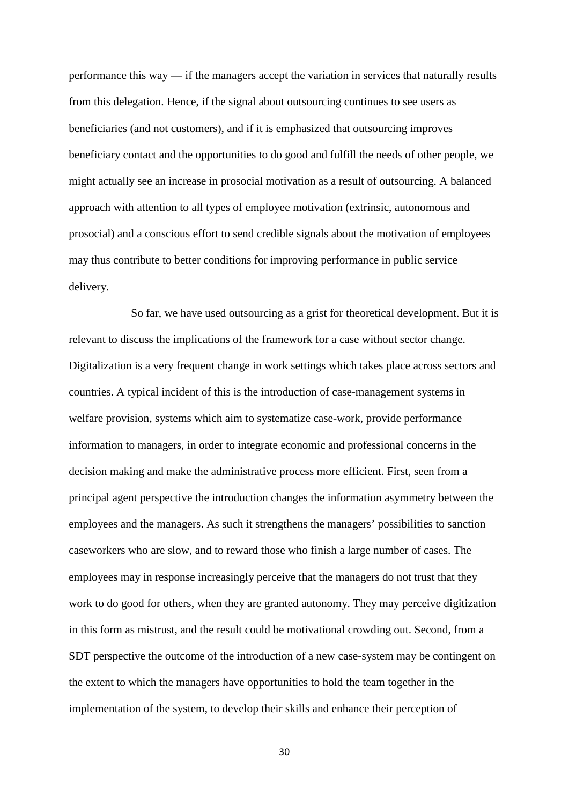performance this way — if the managers accept the variation in services that naturally results from this delegation. Hence, if the signal about outsourcing continues to see users as beneficiaries (and not customers), and if it is emphasized that outsourcing improves beneficiary contact and the opportunities to do good and fulfill the needs of other people, we might actually see an increase in prosocial motivation as a result of outsourcing. A balanced approach with attention to all types of employee motivation (extrinsic, autonomous and prosocial) and a conscious effort to send credible signals about the motivation of employees may thus contribute to better conditions for improving performance in public service delivery.

So far, we have used outsourcing as a grist for theoretical development. But it is relevant to discuss the implications of the framework for a case without sector change. Digitalization is a very frequent change in work settings which takes place across sectors and countries. A typical incident of this is the introduction of case-management systems in welfare provision, systems which aim to systematize case-work, provide performance information to managers, in order to integrate economic and professional concerns in the decision making and make the administrative process more efficient. First, seen from a principal agent perspective the introduction changes the information asymmetry between the employees and the managers. As such it strengthens the managers' possibilities to sanction caseworkers who are slow, and to reward those who finish a large number of cases. The employees may in response increasingly perceive that the managers do not trust that they work to do good for others, when they are granted autonomy. They may perceive digitization in this form as mistrust, and the result could be motivational crowding out. Second, from a SDT perspective the outcome of the introduction of a new case-system may be contingent on the extent to which the managers have opportunities to hold the team together in the implementation of the system, to develop their skills and enhance their perception of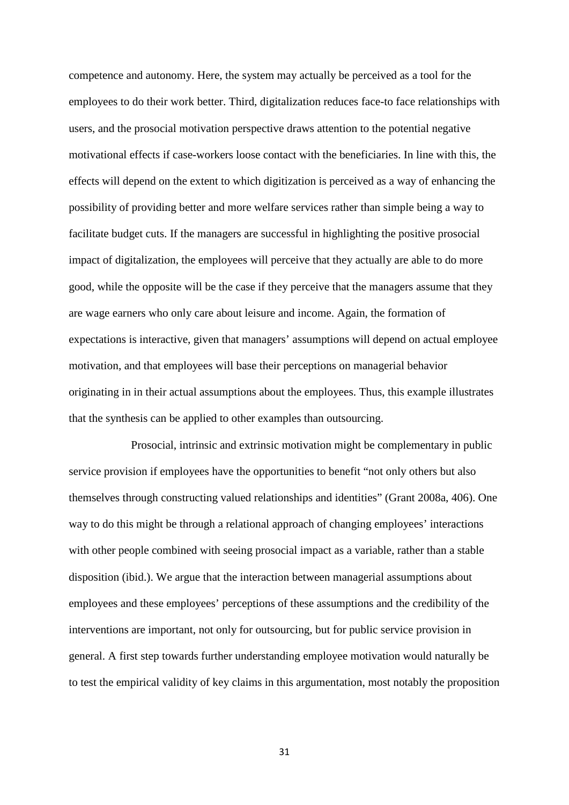competence and autonomy. Here, the system may actually be perceived as a tool for the employees to do their work better. Third, digitalization reduces face-to face relationships with users, and the prosocial motivation perspective draws attention to the potential negative motivational effects if case-workers loose contact with the beneficiaries. In line with this, the effects will depend on the extent to which digitization is perceived as a way of enhancing the possibility of providing better and more welfare services rather than simple being a way to facilitate budget cuts. If the managers are successful in highlighting the positive prosocial impact of digitalization, the employees will perceive that they actually are able to do more good, while the opposite will be the case if they perceive that the managers assume that they are wage earners who only care about leisure and income. Again, the formation of expectations is interactive, given that managers' assumptions will depend on actual employee motivation, and that employees will base their perceptions on managerial behavior originating in in their actual assumptions about the employees. Thus, this example illustrates that the synthesis can be applied to other examples than outsourcing.

Prosocial, intrinsic and extrinsic motivation might be complementary in public service provision if employees have the opportunities to benefit "not only others but also themselves through constructing valued relationships and identities" (Grant 2008a, 406). One way to do this might be through a relational approach of changing employees' interactions with other people combined with seeing prosocial impact as a variable, rather than a stable disposition (ibid.). We argue that the interaction between managerial assumptions about employees and these employees' perceptions of these assumptions and the credibility of the interventions are important, not only for outsourcing, but for public service provision in general. A first step towards further understanding employee motivation would naturally be to test the empirical validity of key claims in this argumentation, most notably the proposition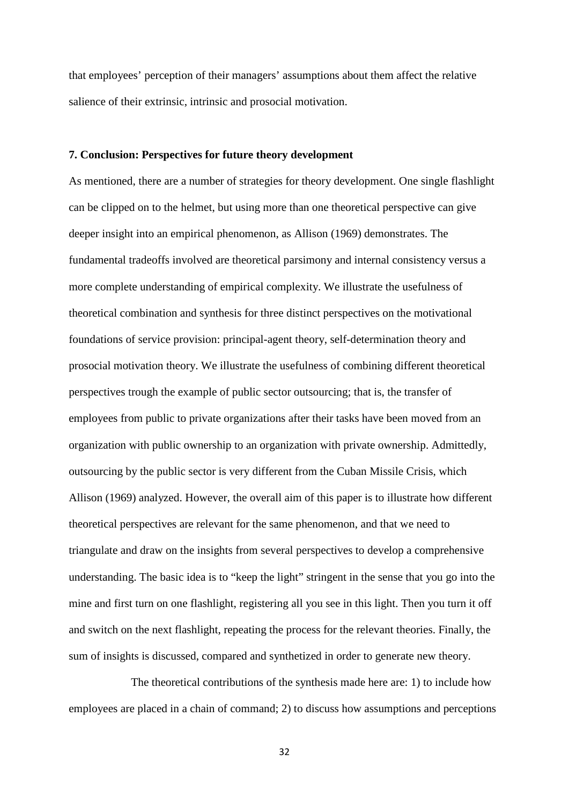that employees' perception of their managers' assumptions about them affect the relative salience of their extrinsic, intrinsic and prosocial motivation.

#### **7. Conclusion: Perspectives for future theory development**

As mentioned, there are a number of strategies for theory development. One single flashlight can be clipped on to the helmet, but using more than one theoretical perspective can give deeper insight into an empirical phenomenon, as Allison (1969) demonstrates. The fundamental tradeoffs involved are theoretical parsimony and internal consistency versus a more complete understanding of empirical complexity. We illustrate the usefulness of theoretical combination and synthesis for three distinct perspectives on the motivational foundations of service provision: principal-agent theory, self-determination theory and prosocial motivation theory. We illustrate the usefulness of combining different theoretical perspectives trough the example of public sector outsourcing; that is, the transfer of employees from public to private organizations after their tasks have been moved from an organization with public ownership to an organization with private ownership. Admittedly, outsourcing by the public sector is very different from the Cuban Missile Crisis, which Allison (1969) analyzed. However, the overall aim of this paper is to illustrate how different theoretical perspectives are relevant for the same phenomenon, and that we need to triangulate and draw on the insights from several perspectives to develop a comprehensive understanding. The basic idea is to "keep the light" stringent in the sense that you go into the mine and first turn on one flashlight, registering all you see in this light. Then you turn it off and switch on the next flashlight, repeating the process for the relevant theories. Finally, the sum of insights is discussed, compared and synthetized in order to generate new theory.

The theoretical contributions of the synthesis made here are: 1) to include how employees are placed in a chain of command; 2) to discuss how assumptions and perceptions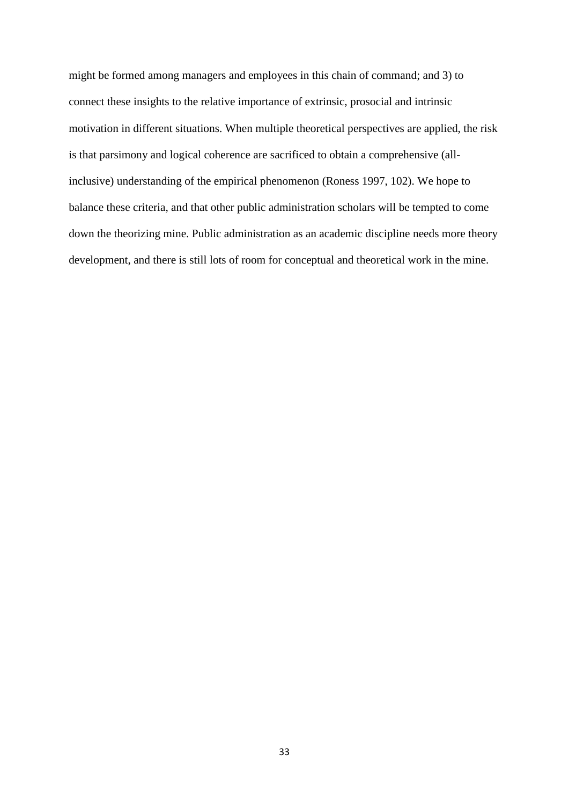might be formed among managers and employees in this chain of command; and 3) to connect these insights to the relative importance of extrinsic, prosocial and intrinsic motivation in different situations. When multiple theoretical perspectives are applied, the risk is that parsimony and logical coherence are sacrificed to obtain a comprehensive (allinclusive) understanding of the empirical phenomenon (Roness 1997, 102). We hope to balance these criteria, and that other public administration scholars will be tempted to come down the theorizing mine. Public administration as an academic discipline needs more theory development, and there is still lots of room for conceptual and theoretical work in the mine.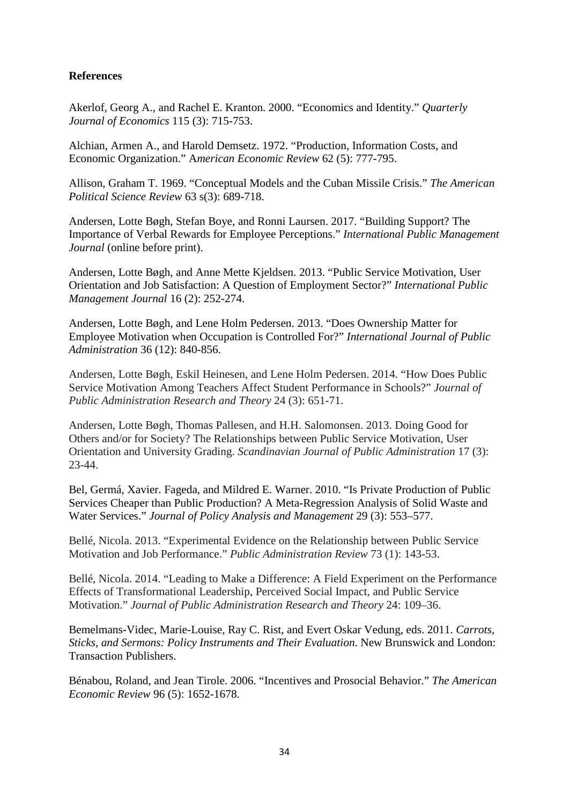### **References**

Akerlof, Georg A., and Rachel E. Kranton. 2000. "Economics and Identity." *Quarterly Journal of Economics* 115 (3): 715-753.

Alchian, Armen A., and Harold Demsetz. 1972. "Production, Information Costs, and Economic Organization." A*merican Economic Review* 62 (5): 777-795.

Allison, Graham T. 1969. "Conceptual Models and the Cuban Missile Crisis." *The American Political Science Review* 63 s(3): 689-718.

Andersen, Lotte Bøgh, Stefan Boye, and Ronni Laursen. 2017. "Building Support? The Importance of Verbal Rewards for Employee Perceptions." *International Public Management Journal* (online before print).

Andersen, Lotte Bøgh, and Anne Mette Kjeldsen. 2013. "Public Service Motivation, User Orientation and Job Satisfaction: A Question of Employment Sector?" *International Public Management Journal* 16 (2): 252-274.

Andersen, Lotte Bøgh, and Lene Holm Pedersen. 2013. "Does Ownership Matter for Employee Motivation when Occupation is Controlled For?" *International Journal of Public Administration* 36 (12): 840-856.

Andersen, Lotte Bøgh, Eskil Heinesen, and Lene Holm Pedersen. 2014. "How Does Public Service Motivation Among Teachers Affect Student Performance in Schools?" *Journal of Public Administration Research and Theory* 24 (3): 651-71.

Andersen, Lotte Bøgh, Thomas Pallesen, and H.H. Salomonsen. 2013. Doing Good for Others and/or for Society? The Relationships between Public Service Motivation, User Orientation and University Grading. *Scandinavian Journal of Public Administration* 17 (3): 23-44.

Bel, Germá, Xavier. Fageda, and Mildred E. Warner. 2010. "Is Private Production of Public Services Cheaper than Public Production? A Meta-Regression Analysis of Solid Waste and Water Services." *Journal of Policy Analysis and Management* 29 (3): 553–577.

Bellé, Nicola. 2013. "Experimental Evidence on the Relationship between Public Service Motivation and Job Performance." *Public Administration Review* 73 (1): 143-53.

Bellé, Nicola. 2014. "Leading to Make a Difference: A Field Experiment on the Performance Effects of Transformational Leadership, Perceived Social Impact, and Public Service Motivation." *Journal of Public Administration Research and Theory* 24: 109–36.

Bemelmans-Videc, Marie-Louise, Ray C. Rist, and Evert Oskar Vedung, eds. 2011. *Carrots, Sticks, and Sermons: Policy Instruments and Their Evaluation*. New Brunswick and London: Transaction Publishers.

Bénabou, Roland, and Jean Tirole. 2006. "Incentives and Prosocial Behavior." *The American Economic Review* 96 (5): 1652-1678.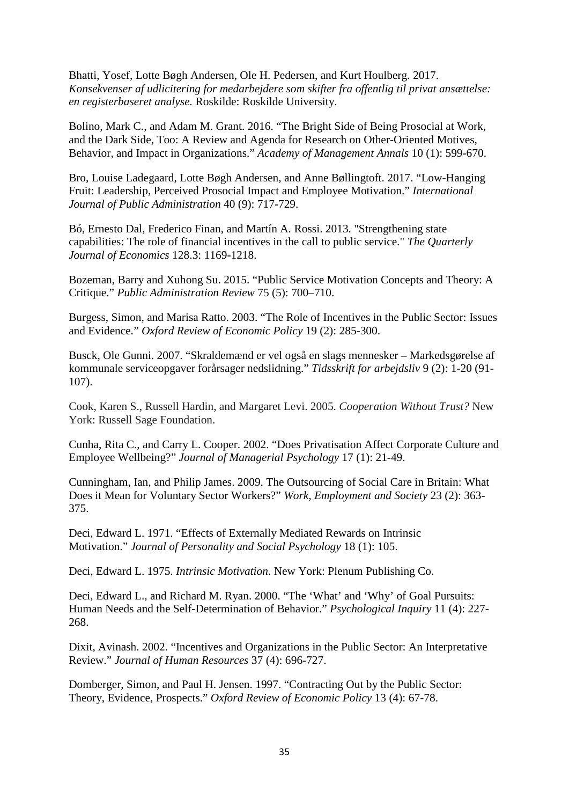Bhatti, Yosef, Lotte Bøgh Andersen, Ole H. Pedersen, and Kurt Houlberg. 2017. *[Konsekvenser af udlicitering for medarbejdere som skifter fra offentlig til privat ansættelse:](http://forskning.ruc.dk/site/da/publications/konsekvenser-af-udlicitering-for-medarbejdere-som-skifter-fra-offentlig-til-privat-ansaettelse(1b528c81-9866-4af0-9088-7bbaa054db58).html)  [en registerbaseret analyse.](http://forskning.ruc.dk/site/da/publications/konsekvenser-af-udlicitering-for-medarbejdere-som-skifter-fra-offentlig-til-privat-ansaettelse(1b528c81-9866-4af0-9088-7bbaa054db58).html)* Roskilde: Roskilde University.

Bolino, Mark C., and Adam M. Grant. 2016. "The Bright Side of Being Prosocial at Work, and the Dark Side, Too: A Review and Agenda for Research on Other-Oriented Motives, Behavior, and Impact in Organizations." *Academy of Management Annals* 10 (1): 599-670.

Bro, Louise Ladegaard, Lotte Bøgh Andersen, and Anne Bøllingtoft. 2017. "Low-Hanging Fruit: Leadership, Perceived Prosocial Impact and Employee Motivation." *International Journal of Public Administration* 40 (9): 717-729.

Bó, Ernesto Dal, Frederico Finan, and Martín A. Rossi. 2013. "Strengthening state capabilities: The role of financial incentives in the call to public service." *The Quarterly Journal of Economics* 128.3: 1169-1218.

Bozeman, Barry and Xuhong Su. 2015. "Public Service Motivation Concepts and Theory: A Critique." *Public Administration Review* 75 (5): 700–710.

Burgess, Simon, and Marisa Ratto. 2003. "The Role of Incentives in the Public Sector: Issues and Evidence." *Oxford Review of Economic Policy* 19 (2): 285-300.

Busck, Ole Gunni. 2007. "Skraldemænd er vel også en slags mennesker – Markedsgørelse af kommunale serviceopgaver forårsager nedslidning." *Tidsskrift for arbejdsliv* 9 (2): 1-20 (91- 107).

Cook, Karen S., Russell Hardin, and Margaret Levi. 2005. *Cooperation Without Trust?* New York: Russell Sage Foundation.

Cunha, Rita C., and Carry L. Cooper. 2002. "Does Privatisation Affect Corporate Culture and Employee Wellbeing?" *Journal of Managerial Psychology* 17 (1): 21-49.

Cunningham, Ian, and Philip James. 2009. The Outsourcing of Social Care in Britain: What Does it Mean for Voluntary Sector Workers?" *Work, Employment and Society* 23 (2): 363- 375.

Deci, Edward L. 1971. "Effects of Externally Mediated Rewards on Intrinsic Motivation." *Journal of Personality and Social Psychology* 18 (1): 105.

Deci, Edward L. 1975. *Intrinsic Motivation*. New York: Plenum Publishing Co.

Deci, Edward L., and Richard M. Ryan. 2000. "The 'What' and 'Why' of Goal Pursuits: Human Needs and the Self-Determination of Behavior." *Psychological Inquiry* 11 (4): 227- 268.

Dixit, Avinash. 2002. "Incentives and Organizations in the Public Sector: An Interpretative Review." *Journal of Human Resources* 37 (4): 696-727.

Domberger, Simon, and Paul H. Jensen. 1997. "Contracting Out by the Public Sector: Theory, Evidence, Prospects." *Oxford Review of Economic Policy* 13 (4): 67-78.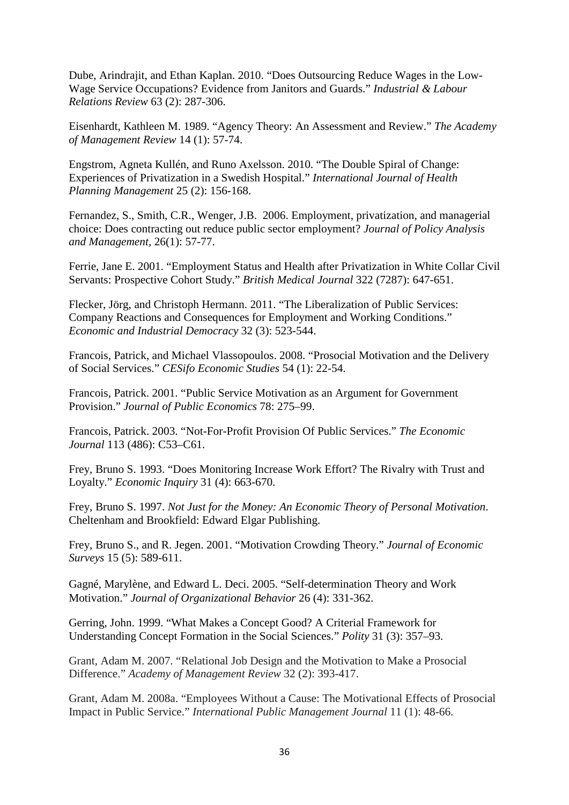Dube, Arindrajit, and Ethan Kaplan. 2010. "Does Outsourcing Reduce Wages in the Low-Wage Service Occupations? Evidence from Janitors and Guards." *Industrial & Labour Relations Review* 63 (2): 287-306.

Eisenhardt, Kathleen M. 1989. "Agency Theory: An Assessment and Review." *The Academy of Management Review* 14 (1): 57-74.

Engstrom, Agneta Kullén, and Runo Axelsson. 2010. "The Double Spiral of Change: Experiences of Privatization in a Swedish Hospital." *International Journal of Health Planning Management* 25 (2): 156-168.

Fernandez, S., Smith, C.R., Wenger, J.B. 2006. Employment, privatization, and managerial choice: Does contracting out reduce public sector employment? *Journal of Policy Analysis and Management,* 26(1): 57-77.

Ferrie, Jane E. 2001. "Employment Status and Health after Privatization in White Collar Civil Servants: Prospective Cohort Study." *British Medical Journal* 322 (7287): 647-651.

Flecker, Jörg, and Christoph Hermann. 2011. "The Liberalization of Public Services: Company Reactions and Consequences for Employment and Working Conditions." *Economic and Industrial Democracy* 32 (3): 523-544.

Francois, Patrick, and Michael Vlassopoulos. 2008. "Prosocial Motivation and the Delivery of Social Services." *CESifo Economic Studies* 54 (1): 22-54.

Francois, Patrick. 2001. "Public Service Motivation as an Argument for Government Provision." *Journal of Public Economics* 78: 275–99.

Francois, Patrick. 2003. "Not-For-Profit Provision Of Public Services." *The Economic Journal* 113 (486): C53–C61.

Frey, Bruno S. 1993. "Does Monitoring Increase Work Effort? The Rivalry with Trust and Loyalty." *Economic Inquiry* 31 (4): 663-670.

Frey, Bruno S. 1997. *Not Just for the Money: An Economic Theory of Personal Motivation*. Cheltenham and Brookfield: Edward Elgar Publishing.

Frey, Bruno S., and R. Jegen. 2001. "Motivation Crowding Theory." *Journal of Economic Surveys* 15 (5): 589-611.

Gagné, Marylène, and Edward L. Deci. 2005. "Self‐determination Theory and Work Motivation." *Journal of Organizational Behavior* 26 (4): 331-362.

Gerring, John. 1999. "What Makes a Concept Good? A Criterial Framework for Understanding Concept Formation in the Social Sciences." *Polity* 31 (3): 357–93.

Grant, Adam M. 2007. "Relational Job Design and the Motivation to Make a Prosocial Difference." *Academy of Management Review* 32 (2): 393-417.

Grant, Adam M. 2008a. "Employees Without a Cause: The Motivational Effects of Prosocial Impact in Public Service." *International Public Management Journal* 11 (1): 48-66.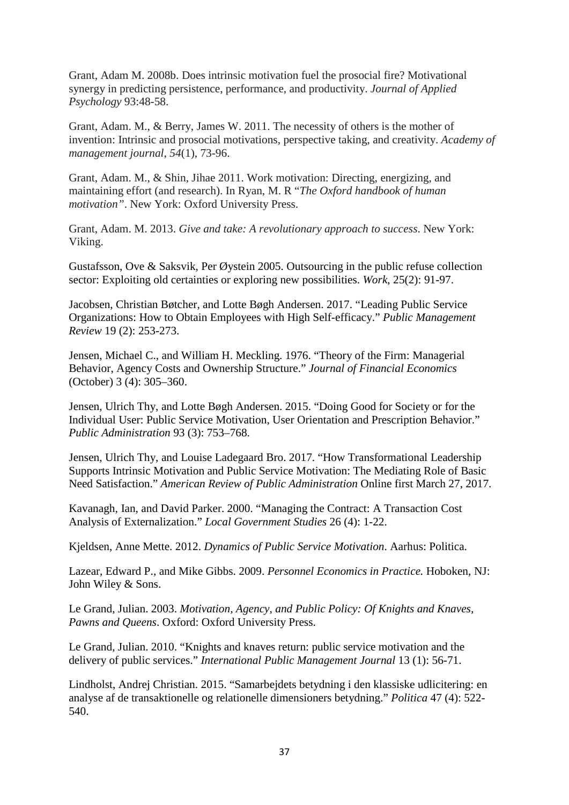Grant, Adam M. 2008b. Does intrinsic motivation fuel the prosocial fire? Motivational synergy in predicting persistence, performance, and productivity. *Journal of Applied Psychology* 93:48-58.

Grant, Adam. M., & Berry, James W. 2011. The necessity of others is the mother of invention: Intrinsic and prosocial motivations, perspective taking, and creativity. *Academy of management journal*, *54*(1), 73-96.

Grant, Adam. M., & Shin, Jihae 2011. Work motivation: Directing, energizing, and maintaining effort (and research). In Ryan, M. R "*The Oxford handbook of human motivation"*. New York: Oxford University Press.

Grant, Adam. M. 2013. *Give and take: A revolutionary approach to success*. New York: Viking.

Gustafsson, Ove & Saksvik, Per Øystein 2005. Outsourcing in the public refuse collection sector: Exploiting old certainties or exploring new possibilities. *Work*, 25(2): 91-97.

Jacobsen, Christian Bøtcher, and Lotte Bøgh Andersen. 2017. "Leading Public Service Organizations: How to Obtain Employees with High Self-efficacy." *Public Management Review* 19 (2): 253-273.

Jensen, Michael C., and William H. Meckling. 1976. "Theory of the Firm: Managerial Behavior, Agency Costs and Ownership Structure." *Journal of Financial Economics* (October) 3 (4): 305–360.

Jensen, Ulrich Thy, and Lotte Bøgh Andersen. 2015. "Doing Good for Society or for the Individual User: Public Service Motivation, User Orientation and Prescription Behavior." *Public Administration* 93 (3): 753–768.

Jensen, Ulrich Thy, and Louise Ladegaard Bro. 2017. "How Transformational Leadership Supports Intrinsic Motivation and Public Service Motivation: The Mediating Role of Basic Need Satisfaction." *American Review of Public Administration* Online first March 27, 2017.

Kavanagh, Ian, and David Parker. 2000. "Managing the Contract: A Transaction Cost Analysis of Externalization." *Local Government Studies* 26 (4): 1-22.

Kjeldsen, Anne Mette. 2012. *Dynamics of Public Service Motivation*. Aarhus: Politica.

Lazear, Edward P., and Mike Gibbs. 2009. *Personnel Economics in Practice.* Hoboken, NJ: John Wiley & Sons.

Le Grand, Julian. 2003. *Motivation, Agency, and Public Policy: Of Knights and Knaves, Pawns and Queens*. Oxford: Oxford University Press.

Le Grand, Julian. 2010. "Knights and knaves return: public service motivation and the delivery of public services." *International Public Management Journal* 13 (1): 56-71.

Lindholst, Andrej Christian. 2015. "Samarbejdets betydning i den klassiske udlicitering: en analyse af de transaktionelle og relationelle dimensioners betydning." *Politica* 47 (4): 522- 540.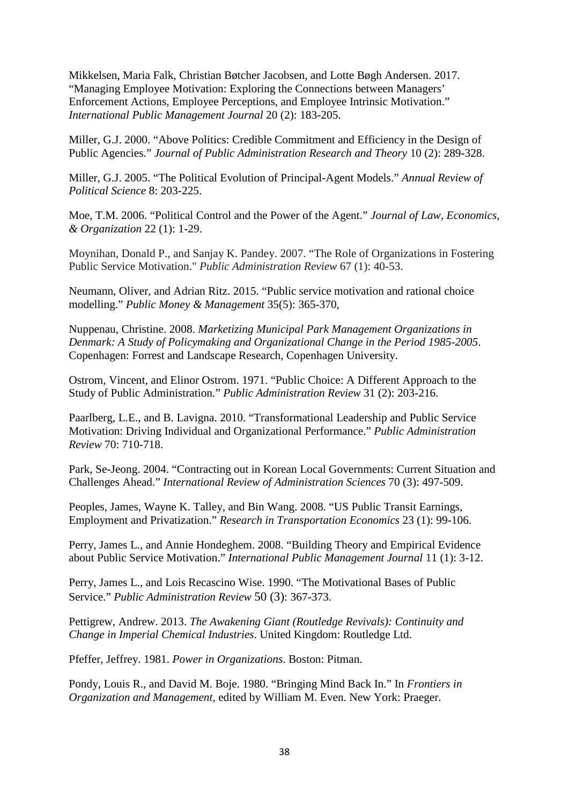Mikkelsen, Maria Falk, Christian Bøtcher Jacobsen, and Lotte Bøgh Andersen. 2017. "Managing Employee Motivation: Exploring the Connections between Managers' Enforcement Actions, Employee Perceptions, and Employee Intrinsic Motivation." *International Public Management Journal* 20 (2): 183-205.

Miller, G.J. 2000. "Above Politics: Credible Commitment and Efficiency in the Design of Public Agencies." *Journal of Public Administration Research and Theory* 10 (2): 289-328.

Miller, G.J. 2005. "The Political Evolution of Principal-Agent Models." *Annual Review of Political Science* 8: 203-225.

Moe, T.M. 2006. "Political Control and the Power of the Agent." *Journal of Law, Economics, & Organization* 22 (1): 1-29.

Moynihan, Donald P., and Sanjay K. Pandey. 2007. "The Role of Organizations in Fostering Public Service Motivation." *Public Administration Review* 67 (1): 40-53.

Neumann, Oliver, and Adrian Ritz. 2015. "Public service motivation and rational choice modelling." *Public Money & Management* 35(5): 365-370,

Nuppenau, Christine. 2008. *Marketizing Municipal Park Management Organizations in Denmark: A Study of Policymaking and Organizational Change in the Period 1985-2005*. Copenhagen: Forrest and Landscape Research, Copenhagen University.

Ostrom, Vincent, and Elinor Ostrom. 1971. "Public Choice: A Different Approach to the Study of Public Administration." *Public Administration Review* 31 (2): 203-216.

Paarlberg, L.E., and B. Lavigna. 2010. "Transformational Leadership and Public Service Motivation: Driving Individual and Organizational Performance." *Public Administration Review* 70: 710-718.

Park, Se-Jeong. 2004. "Contracting out in Korean Local Governments: Current Situation and Challenges Ahead." *International Review of Administration Sciences* 70 (3): 497-509.

Peoples, James, Wayne K. Talley, and Bin Wang. 2008. "US Public Transit Earnings, Employment and Privatization." *Research in Transportation Economics* 23 (1): 99-106.

Perry, James L., and Annie Hondeghem. 2008. "Building Theory and Empirical Evidence about Public Service Motivation." *International Public Management Journal* 11 (1): 3-12.

Perry, James L., and Lois Recascino Wise. 1990. "The Motivational Bases of Public Service." *Public Administration Review* 50 (3): 367-373.

Pettigrew, Andrew. 2013. *The Awakening Giant (Routledge Revivals): Continuity and Change in Imperial Chemical Industries*. United Kingdom: Routledge Ltd.

Pfeffer, Jeffrey. 1981. *Power in Organizations*. Boston: Pitman.

Pondy, Louis R., and David M. Boje. 1980. "Bringing Mind Back In." In *Frontiers in Organization and Management*, edited by William M. Even. New York: Praeger.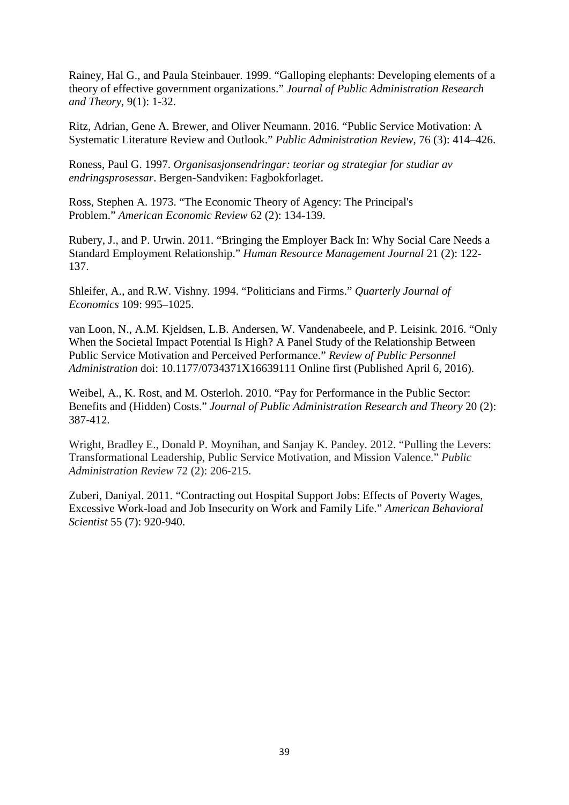Rainey, Hal G., and Paula Steinbauer. 1999. "Galloping elephants: Developing elements of a theory of effective government organizations." *Journal of Public Administration Research and Theory*, 9(1): 1-32.

Ritz, Adrian, Gene A. Brewer, and Oliver Neumann. 2016. "Public Service Motivation: A Systematic Literature Review and Outlook." *Public Administration Review*, 76 (3): 414–426.

Roness, Paul G. 1997. *Organisasjonsendringar: teoriar og strategiar for studiar av endringsprosessar*. Bergen-Sandviken: Fagbokforlaget.

Ross, Stephen A. 1973. "The Economic Theory of Agency: The Principal's Problem." *American Economic Review* 62 (2): 134-139.

Rubery, J., and P. Urwin. 2011. "Bringing the Employer Back In: Why Social Care Needs a Standard Employment Relationship." *Human Resource Management Journal* 21 (2): 122- 137.

Shleifer, A., and R.W. Vishny. 1994. "Politicians and Firms." *Quarterly Journal of Economics* 109: 995–1025.

van Loon, N., A.M. Kjeldsen, L.B. Andersen, W. Vandenabeele, and P. Leisink. 2016. "Only When the Societal Impact Potential Is High? A Panel Study of the Relationship Between Public Service Motivation and Perceived Performance." *Review of Public Personnel Administration* doi: 10.1177/0734371X16639111 Online first (Published April 6, 2016).

Weibel, A., K. Rost, and M. Osterloh. 2010. "Pay for Performance in the Public Sector: Benefits and (Hidden) Costs." *Journal of Public Administration Research and Theory* 20 (2): 387-412.

Wright, Bradley E., Donald P. Moynihan, and Sanjay K. Pandey. 2012. "Pulling the Levers: Transformational Leadership, Public Service Motivation, and Mission Valence." *Public Administration Review* 72 (2): 206-215.

Zuberi, Daniyal. 2011. "Contracting out Hospital Support Jobs: Effects of Poverty Wages, Excessive Work-load and Job Insecurity on Work and Family Life." *American Behavioral Scientist* 55 (7): 920-940.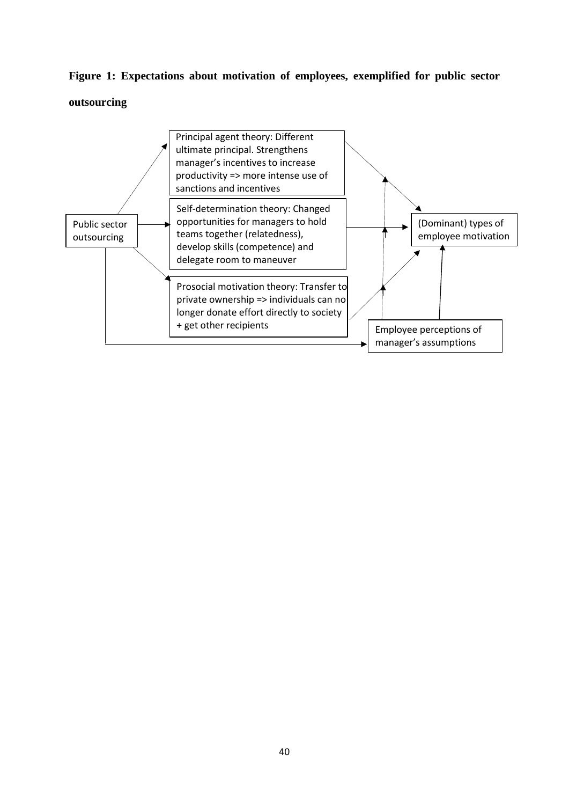# **Figure 1: Expectations about motivation of employees, exemplified for public sector**

#### **outsourcing**

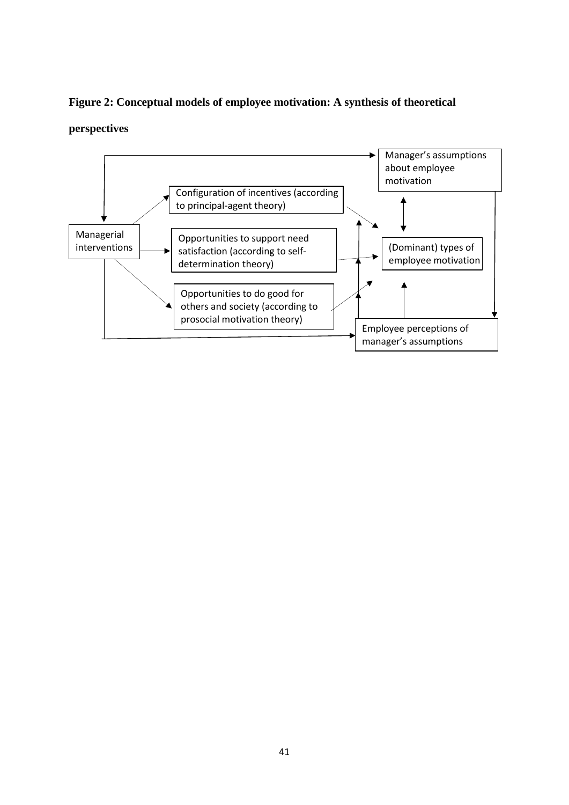### **Figure 2: Conceptual models of employee motivation: A synthesis of theoretical**

#### **perspectives**

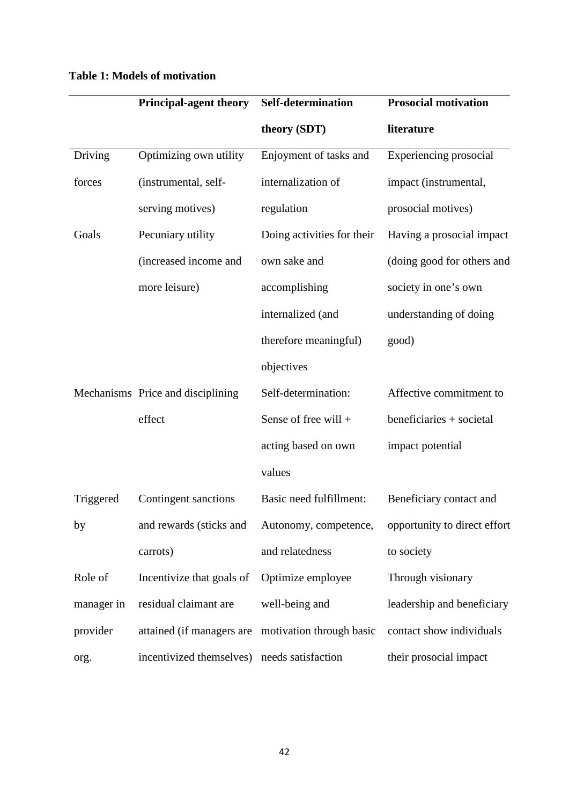|            | <b>Principal-agent theory</b>               | <b>Self-determination</b>  | <b>Prosocial motivation</b>  |
|------------|---------------------------------------------|----------------------------|------------------------------|
|            |                                             | theory (SDT)               | literature                   |
| Driving    | Optimizing own utility                      | Enjoyment of tasks and     | Experiencing prosocial       |
| forces     | (instrumental, self-                        | internalization of         | impact (instrumental,        |
|            | serving motives)                            | regulation                 | prosocial motives)           |
| Goals      | Pecuniary utility                           | Doing activities for their | Having a prosocial impact    |
|            | (increased income and                       | own sake and               | (doing good for others and   |
|            | more leisure)                               | accomplishing              | society in one's own         |
|            |                                             | internalized (and          | understanding of doing       |
|            |                                             | therefore meaningful)      | good)                        |
|            |                                             | objectives                 |                              |
|            | Mechanisms Price and disciplining           | Self-determination:        | Affective commitment to      |
|            | effect                                      | Sense of free will +       | $b$ eneficiaries + societal  |
|            |                                             | acting based on own        | impact potential             |
|            |                                             | values                     |                              |
| Triggered  | Contingent sanctions                        | Basic need fulfillment:    | Beneficiary contact and      |
| by         | and rewards (sticks and                     | Autonomy, competence,      | opportunity to direct effort |
|            | carrots)                                    | and relatedness            | to society                   |
| Role of    | Incentivize that goals of                   | Optimize employee          | Through visionary            |
| manager in | residual claimant are                       | well-being and             | leadership and beneficiary   |
| provider   | attained (if managers are                   | motivation through basic   | contact show individuals     |
| org.       | incentivized themselves) needs satisfaction |                            | their prosocial impact       |

### **Table 1: Models of motivation**